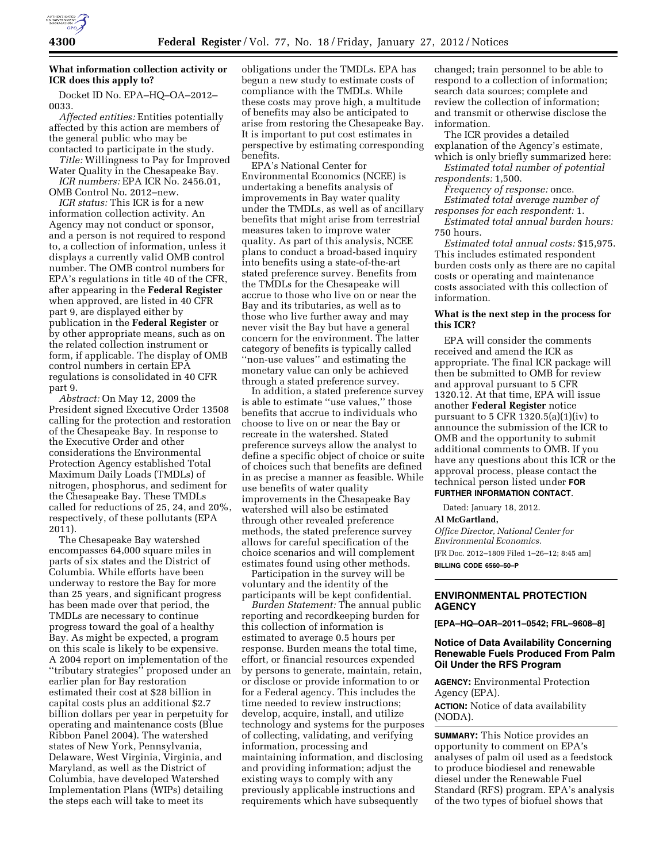

# **What information collection activity or ICR does this apply to?**

Docket ID No. EPA–HQ–OA–2012– 0033.

*Affected entities:* Entities potentially affected by this action are members of the general public who may be contacted to participate in the study.

*Title:* Willingness to Pay for Improved Water Quality in the Chesapeake Bay. *ICR numbers:* EPA ICR No. 2456.01,

OMB Control No. 2012–new.

*ICR status:* This ICR is for a new information collection activity. An Agency may not conduct or sponsor, and a person is not required to respond to, a collection of information, unless it displays a currently valid OMB control number. The OMB control numbers for EPA's regulations in title 40 of the CFR, after appearing in the **Federal Register**  when approved, are listed in 40 CFR part 9, are displayed either by publication in the **Federal Register** or by other appropriate means, such as on the related collection instrument or form, if applicable. The display of OMB control numbers in certain EPA regulations is consolidated in 40 CFR part 9.

*Abstract:* On May 12, 2009 the President signed Executive Order 13508 calling for the protection and restoration of the Chesapeake Bay. In response to the Executive Order and other considerations the Environmental Protection Agency established Total Maximum Daily Loads (TMDLs) of nitrogen, phosphorus, and sediment for the Chesapeake Bay. These TMDLs called for reductions of 25, 24, and 20%, respectively, of these pollutants (EPA 2011).

The Chesapeake Bay watershed encompasses 64,000 square miles in parts of six states and the District of Columbia. While efforts have been underway to restore the Bay for more than 25 years, and significant progress has been made over that period, the TMDLs are necessary to continue progress toward the goal of a healthy Bay. As might be expected, a program on this scale is likely to be expensive. A 2004 report on implementation of the ''tributary strategies'' proposed under an earlier plan for Bay restoration estimated their cost at \$28 billion in capital costs plus an additional \$2.7 billion dollars per year in perpetuity for operating and maintenance costs (Blue Ribbon Panel 2004). The watershed states of New York, Pennsylvania, Delaware, West Virginia, Virginia, and Maryland, as well as the District of Columbia, have developed Watershed Implementation Plans (WIPs) detailing the steps each will take to meet its

obligations under the TMDLs. EPA has begun a new study to estimate costs of compliance with the TMDLs. While these costs may prove high, a multitude of benefits may also be anticipated to arise from restoring the Chesapeake Bay. It is important to put cost estimates in perspective by estimating corresponding benefits.

EPA's National Center for Environmental Economics (NCEE) is undertaking a benefits analysis of improvements in Bay water quality under the TMDLs, as well as of ancillary benefits that might arise from terrestrial measures taken to improve water quality. As part of this analysis, NCEE plans to conduct a broad-based inquiry into benefits using a state-of-the-art stated preference survey. Benefits from the TMDLs for the Chesapeake will accrue to those who live on or near the Bay and its tributaries, as well as to those who live further away and may never visit the Bay but have a general concern for the environment. The latter category of benefits is typically called ''non-use values'' and estimating the monetary value can only be achieved through a stated preference survey.

In addition, a stated preference survey is able to estimate ''use values,'' those benefits that accrue to individuals who choose to live on or near the Bay or recreate in the watershed. Stated preference surveys allow the analyst to define a specific object of choice or suite of choices such that benefits are defined in as precise a manner as feasible. While use benefits of water quality improvements in the Chesapeake Bay watershed will also be estimated through other revealed preference methods, the stated preference survey allows for careful specification of the choice scenarios and will complement estimates found using other methods.

Participation in the survey will be voluntary and the identity of the participants will be kept confidential.

*Burden Statement:* The annual public reporting and recordkeeping burden for this collection of information is estimated to average 0.5 hours per response. Burden means the total time, effort, or financial resources expended by persons to generate, maintain, retain, or disclose or provide information to or for a Federal agency. This includes the time needed to review instructions; develop, acquire, install, and utilize technology and systems for the purposes of collecting, validating, and verifying information, processing and maintaining information, and disclosing and providing information; adjust the existing ways to comply with any previously applicable instructions and requirements which have subsequently

changed; train personnel to be able to respond to a collection of information; search data sources; complete and review the collection of information; and transmit or otherwise disclose the information.

The ICR provides a detailed explanation of the Agency's estimate, which is only briefly summarized here:

*Estimated total number of potential respondents:* 1,500.

*Frequency of response:* once.

*Estimated total average number of responses for each respondent:* 1.

*Estimated total annual burden hours:*  750 hours.

*Estimated total annual costs:* \$15,975. This includes estimated respondent burden costs only as there are no capital costs or operating and maintenance costs associated with this collection of information.

# **What is the next step in the process for this ICR?**

EPA will consider the comments received and amend the ICR as appropriate. The final ICR package will then be submitted to OMB for review and approval pursuant to 5 CFR 1320.12. At that time, EPA will issue another **Federal Register** notice pursuant to  $5$  CFR 1320.5(a)(1)(iv) to announce the submission of the ICR to OMB and the opportunity to submit additional comments to OMB. If you have any questions about this ICR or the approval process, please contact the technical person listed under **FOR FURTHER INFORMATION CONTACT**.

Dated: January 18, 2012.

## **Al McGartland,**

*Office Director, National Center for Environmental Economics.*  [FR Doc. 2012–1809 Filed 1–26–12; 8:45 am] **BILLING CODE 6560–50–P** 

# **ENVIRONMENTAL PROTECTION AGENCY**

**[EPA–HQ–OAR–2011–0542; FRL–9608–8]** 

# **Notice of Data Availability Concerning Renewable Fuels Produced From Palm Oil Under the RFS Program**

**AGENCY:** Environmental Protection Agency (EPA).

**ACTION:** Notice of data availability (NODA).

**SUMMARY:** This Notice provides an opportunity to comment on EPA's analyses of palm oil used as a feedstock to produce biodiesel and renewable diesel under the Renewable Fuel Standard (RFS) program. EPA's analysis of the two types of biofuel shows that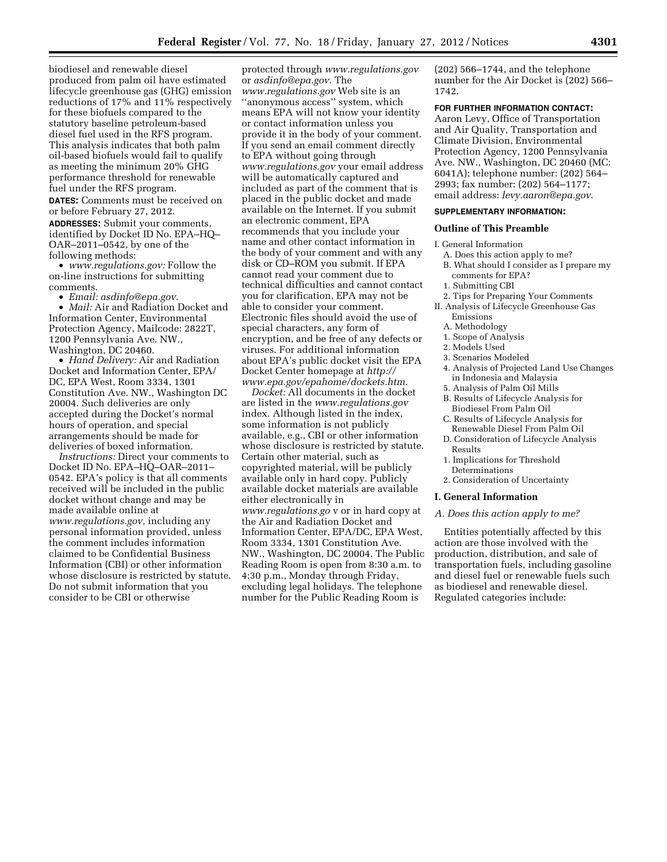biodiesel and renewable diesel produced from palm oil have estimated lifecycle greenhouse gas (GHG) emission reductions of 17% and 11% respectively for these biofuels compared to the statutory baseline petroleum-based diesel fuel used in the RFS program. This analysis indicates that both palm oil-based biofuels would fail to qualify as meeting the minimum 20% GHG performance threshold for renewable fuel under the RFS program.

**DATES:** Comments must be received on or before February 27, 2012.

**ADDRESSES:** Submit your comments, identified by Docket ID No. EPA–HQ– OAR–2011–0542, by one of the following methods:

• *[www.regulations.gov:](http://www.regulations.gov)* Follow the on-line instructions for submitting comments.

• *Email: [asdinfo@epa.gov](mailto:asdinfo@epa.gov)*.

• *Mail:* Air and Radiation Docket and Information Center, Environmental Protection Agency, Mailcode: 2822T, 1200 Pennsylvania Ave. NW., Washington, DC 20460.

• *Hand Delivery:* Air and Radiation Docket and Information Center, EPA/ DC, EPA West, Room 3334, 1301 Constitution Ave. NW., Washington DC 20004. Such deliveries are only accepted during the Docket's normal hours of operation, and special arrangements should be made for deliveries of boxed information.

*Instructions:* Direct your comments to Docket ID No. EPA–HQ–OAR–2011– 0542. EPA's policy is that all comments received will be included in the public docket without change and may be made available online at *[www.regulations.gov,](http://www.regulations.gov)* including any personal information provided, unless the comment includes information claimed to be Confidential Business Information (CBI) or other information whose disclosure is restricted by statute. Do not submit information that you consider to be CBI or otherwise

protected through *[www.regulations.gov](http://www.regulations.gov)*  or *[asdinfo@epa.gov](mailto:asdinfo@epa.gov)*. The *[www.regulations.gov](http://www.regulations.gov)* Web site is an ''anonymous access'' system, which means EPA will not know your identity or contact information unless you provide it in the body of your comment. If you send an email comment directly to EPA without going through *[www.regulations.gov](http://www.regulations.gov)* your email address will be automatically captured and included as part of the comment that is placed in the public docket and made available on the Internet. If you submit an electronic comment, EPA recommends that you include your name and other contact information in the body of your comment and with any disk or CD–ROM you submit. If EPA cannot read your comment due to technical difficulties and cannot contact you for clarification, EPA may not be able to consider your comment. Electronic files should avoid the use of special characters, any form of encryption, and be free of any defects or viruses. For additional information about EPA's public docket visit the EPA Docket Center homepage at *[http://](http://www.epa.gov/epahome/dockets.htm) [www.epa.gov/epahome/dockets.htm](http://www.epa.gov/epahome/dockets.htm)*.

*Docket:* All documents in the docket are listed in the *[www.regulations.gov](http://www.regulations.gov)*  index. Although listed in the index, some information is not publicly available, e.g., CBI or other information whose disclosure is restricted by statute. Certain other material, such as copyrighted material, will be publicly available only in hard copy. Publicly available docket materials are available either electronically in *[www.regulations.go](http://www.regulations.gov)* v or in hard copy at the Air and Radiation Docket and Information Center, EPA/DC, EPA West, Room 3334, 1301 Constitution Ave. NW., Washington, DC 20004. The Public Reading Room is open from 8:30 a.m. to 4:30 p.m., Monday through Friday, excluding legal holidays. The telephone number for the Public Reading Room is

(202) 566–1744, and the telephone number for the Air Docket is (202) 566– 1742.

## **FOR FURTHER INFORMATION CONTACT:**

Aaron Levy, Office of Transportation and Air Quality, Transportation and Climate Division, Environmental Protection Agency, 1200 Pennsylvania Ave. NW., Washington, DC 20460 (MC: 6041A); telephone number: (202) 564– 2993; fax number: (202) 564–1177; email address: *[levy.aaron@epa.gov](mailto:levy.aaron@epa.gov)*.

# **SUPPLEMENTARY INFORMATION:**

# **Outline of This Preamble**

I. General Information

- A. Does this action apply to me?
- B. What should I consider as I prepare my comments for EPA?
- 1. Submitting CBI
- 2. Tips for Preparing Your Comments
- II. Analysis of Lifecycle Greenhouse Gas Emissions
	- A. Methodology
	- 1. Scope of Analysis
	- 2. Models Used
	- 3. Scenarios Modeled
	- 4. Analysis of Projected Land Use Changes in Indonesia and Malaysia
	- 5. Analysis of Palm Oil Mills
	- B. Results of Lifecycle Analysis for Biodiesel From Palm Oil
	- C. Results of Lifecycle Analysis for Renewable Diesel From Palm Oil
	- D. Consideration of Lifecycle Analysis Results
	- 1. Implications for Threshold Determinations
	- 2. Consideration of Uncertainty

#### **I. General Information**

### *A. Does this action apply to me?*

Entities potentially affected by this action are those involved with the production, distribution, and sale of transportation fuels, including gasoline and diesel fuel or renewable fuels such as biodiesel and renewable diesel. Regulated categories include: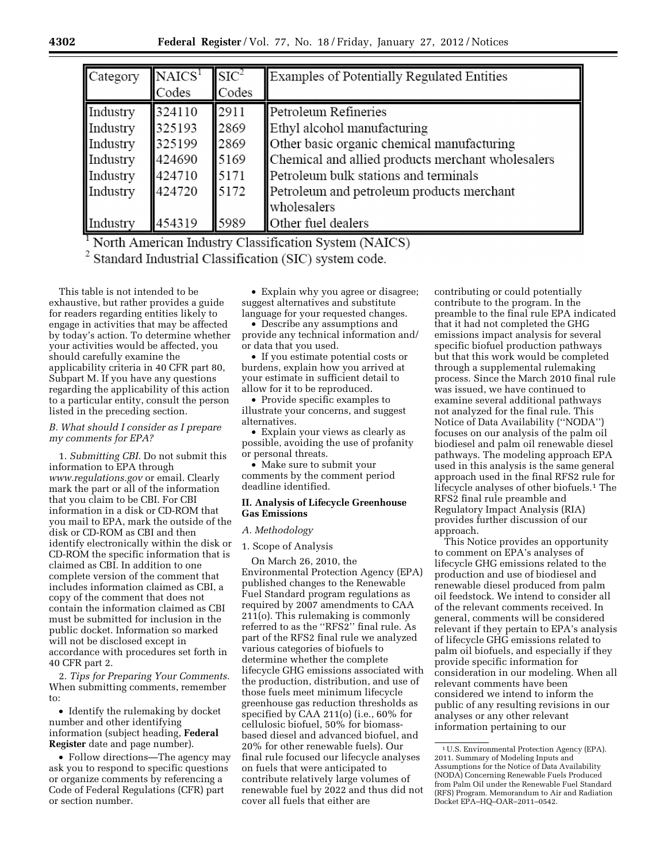| Category | NAICS <sup>1</sup><br>Codes | SIC <sup>2</sup><br>Codes | Examples of Potentially Regulated Entities        |
|----------|-----------------------------|---------------------------|---------------------------------------------------|
| Industry | 324110                      | 2911                      | Petroleum Refineries                              |
| Industry | 325193                      | 2869                      | Ethyl alcohol manufacturing                       |
| Industry | 325199                      | 2869                      | Other basic organic chemical manufacturing        |
| Industry | 424690                      | 5169                      | Chemical and allied products merchant wholesalers |
| Industry | 424710                      | 5171                      | Petroleum bulk stations and terminals             |
| Industry | 424720                      | 5172                      | Petroleum and petroleum products merchant         |
|          |                             |                           | wholesalers                                       |
| Industry | 454319                      | 5989                      | Other fuel dealers                                |

<sup>1</sup> North American Industry Classification System (NAICS)

<sup>2</sup> Standard Industrial Classification (SIC) system code.

This table is not intended to be exhaustive, but rather provides a guide for readers regarding entities likely to engage in activities that may be affected by today's action. To determine whether your activities would be affected, you should carefully examine the applicability criteria in 40 CFR part 80, Subpart M. If you have any questions regarding the applicability of this action to a particular entity, consult the person listed in the preceding section.

# *B. What should I consider as I prepare my comments for EPA?*

1. *Submitting CBI.* Do not submit this information to EPA through *[www.regulations.gov](http://www.regulations.gov)* or email. Clearly mark the part or all of the information that you claim to be CBI. For CBI information in a disk or CD-ROM that you mail to EPA, mark the outside of the disk or CD-ROM as CBI and then identify electronically within the disk or CD-ROM the specific information that is claimed as CBI. In addition to one complete version of the comment that includes information claimed as CBI, a copy of the comment that does not contain the information claimed as CBI must be submitted for inclusion in the public docket. Information so marked will not be disclosed except in accordance with procedures set forth in 40 CFR part 2.

2. *Tips for Preparing Your Comments.*  When submitting comments, remember to:

• Identify the rulemaking by docket number and other identifying information (subject heading, **Federal Register** date and page number).

• Follow directions—The agency may ask you to respond to specific questions or organize comments by referencing a Code of Federal Regulations (CFR) part or section number.

• Explain why you agree or disagree; suggest alternatives and substitute language for your requested changes.

• Describe any assumptions and provide any technical information and/ or data that you used.

• If you estimate potential costs or burdens, explain how you arrived at your estimate in sufficient detail to allow for it to be reproduced.

• Provide specific examples to illustrate your concerns, and suggest alternatives.

• Explain your views as clearly as possible, avoiding the use of profanity or personal threats.

• Make sure to submit your comments by the comment period deadline identified.

# **II. Analysis of Lifecycle Greenhouse Gas Emissions**

# *A. Methodology*

## 1. Scope of Analysis

On March 26, 2010, the Environmental Protection Agency (EPA) published changes to the Renewable Fuel Standard program regulations as required by 2007 amendments to CAA 211(o). This rulemaking is commonly referred to as the ''RFS2'' final rule. As part of the RFS2 final rule we analyzed various categories of biofuels to determine whether the complete lifecycle GHG emissions associated with the production, distribution, and use of those fuels meet minimum lifecycle greenhouse gas reduction thresholds as specified by CAA 211(o) (i.e., 60% for cellulosic biofuel, 50% for biomassbased diesel and advanced biofuel, and 20% for other renewable fuels). Our final rule focused our lifecycle analyses on fuels that were anticipated to contribute relatively large volumes of renewable fuel by 2022 and thus did not cover all fuels that either are

contributing or could potentially contribute to the program. In the preamble to the final rule EPA indicated that it had not completed the GHG emissions impact analysis for several specific biofuel production pathways but that this work would be completed through a supplemental rulemaking process. Since the March 2010 final rule was issued, we have continued to examine several additional pathways not analyzed for the final rule. This Notice of Data Availability (''NODA'') focuses on our analysis of the palm oil biodiesel and palm oil renewable diesel pathways. The modeling approach EPA used in this analysis is the same general approach used in the final RFS2 rule for lifecycle analyses of other biofuels.1 The RFS2 final rule preamble and Regulatory Impact Analysis (RIA) provides further discussion of our approach.

This Notice provides an opportunity to comment on EPA's analyses of lifecycle GHG emissions related to the production and use of biodiesel and renewable diesel produced from palm oil feedstock. We intend to consider all of the relevant comments received. In general, comments will be considered relevant if they pertain to EPA's analysis of lifecycle GHG emissions related to palm oil biofuels, and especially if they provide specific information for consideration in our modeling. When all relevant comments have been considered we intend to inform the public of any resulting revisions in our analyses or any other relevant information pertaining to our

<sup>1</sup>U.S. Environmental Protection Agency (EPA). 2011. Summary of Modeling Inputs and Assumptions for the Notice of Data Availability (NODA) Concerning Renewable Fuels Produced from Palm Oil under the Renewable Fuel Standard (RFS) Program. Memorandum to Air and Radiation Docket EPA–HQ–OAR–2011–0542.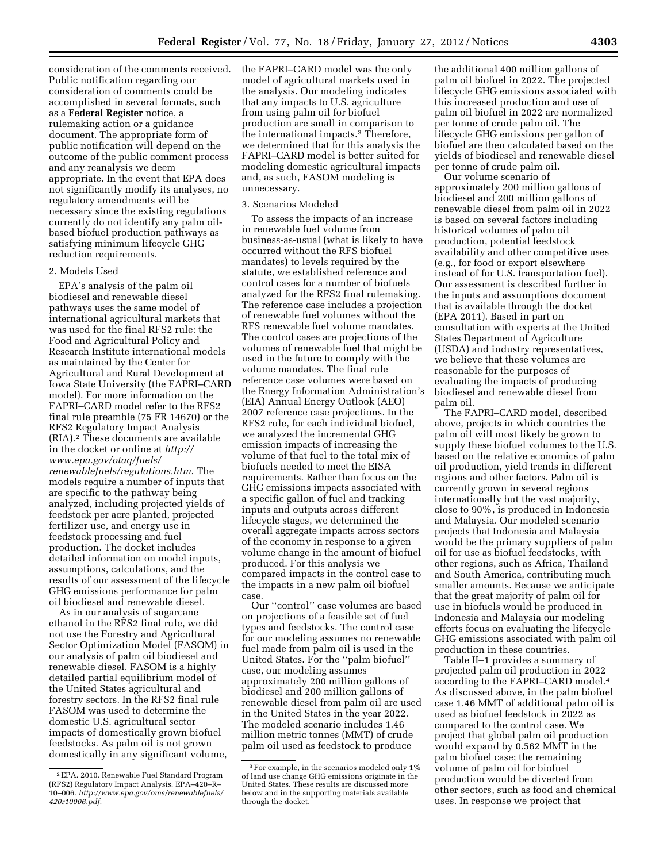consideration of the comments received. Public notification regarding our consideration of comments could be accomplished in several formats, such as a **Federal Register** notice, a rulemaking action or a guidance document. The appropriate form of public notification will depend on the outcome of the public comment process and any reanalysis we deem appropriate. In the event that EPA does not significantly modify its analyses, no regulatory amendments will be necessary since the existing regulations currently do not identify any palm oilbased biofuel production pathways as satisfying minimum lifecycle GHG reduction requirements.

# 2. Models Used

EPA's analysis of the palm oil biodiesel and renewable diesel pathways uses the same model of international agricultural markets that was used for the final RFS2 rule: the Food and Agricultural Policy and Research Institute international models as maintained by the Center for Agricultural and Rural Development at Iowa State University (the FAPRI–CARD model). For more information on the FAPRI–CARD model refer to the RFS2 final rule preamble (75 FR 14670) or the RFS2 Regulatory Impact Analysis (RIA).2 These documents are available in the docket or online at *[http://](http://www.epa.gov/otaq/fuels/renewablefuels/regulations.htm)  [www.epa.gov/otaq/fuels/](http://www.epa.gov/otaq/fuels/renewablefuels/regulations.htm) [renewablefuels/regulations.htm](http://www.epa.gov/otaq/fuels/renewablefuels/regulations.htm)*. The models require a number of inputs that are specific to the pathway being analyzed, including projected yields of feedstock per acre planted, projected fertilizer use, and energy use in feedstock processing and fuel production. The docket includes detailed information on model inputs, assumptions, calculations, and the results of our assessment of the lifecycle GHG emissions performance for palm oil biodiesel and renewable diesel.

As in our analysis of sugarcane ethanol in the RFS2 final rule, we did not use the Forestry and Agricultural Sector Optimization Model (FASOM) in our analysis of palm oil biodiesel and renewable diesel. FASOM is a highly detailed partial equilibrium model of the United States agricultural and forestry sectors. In the RFS2 final rule FASOM was used to determine the domestic U.S. agricultural sector impacts of domestically grown biofuel feedstocks. As palm oil is not grown domestically in any significant volume,

the FAPRI–CARD model was the only model of agricultural markets used in the analysis. Our modeling indicates that any impacts to U.S. agriculture from using palm oil for biofuel production are small in comparison to the international impacts.3 Therefore, we determined that for this analysis the FAPRI–CARD model is better suited for modeling domestic agricultural impacts and, as such, FASOM modeling is unnecessary.

## 3. Scenarios Modeled

To assess the impacts of an increase in renewable fuel volume from business-as-usual (what is likely to have occurred without the RFS biofuel mandates) to levels required by the statute, we established reference and control cases for a number of biofuels analyzed for the RFS2 final rulemaking. The reference case includes a projection of renewable fuel volumes without the RFS renewable fuel volume mandates. The control cases are projections of the volumes of renewable fuel that might be used in the future to comply with the volume mandates. The final rule reference case volumes were based on the Energy Information Administration's (EIA) Annual Energy Outlook (AEO) 2007 reference case projections. In the RFS2 rule, for each individual biofuel, we analyzed the incremental GHG emission impacts of increasing the volume of that fuel to the total mix of biofuels needed to meet the EISA requirements. Rather than focus on the GHG emissions impacts associated with a specific gallon of fuel and tracking inputs and outputs across different lifecycle stages, we determined the overall aggregate impacts across sectors of the economy in response to a given volume change in the amount of biofuel produced. For this analysis we compared impacts in the control case to the impacts in a new palm oil biofuel case.

Our ''control'' case volumes are based on projections of a feasible set of fuel types and feedstocks. The control case for our modeling assumes no renewable fuel made from palm oil is used in the United States. For the ''palm biofuel'' case, our modeling assumes approximately 200 million gallons of biodiesel and 200 million gallons of renewable diesel from palm oil are used in the United States in the year 2022. The modeled scenario includes 1.46 million metric tonnes (MMT) of crude palm oil used as feedstock to produce

the additional 400 million gallons of palm oil biofuel in 2022. The projected lifecycle GHG emissions associated with this increased production and use of palm oil biofuel in 2022 are normalized per tonne of crude palm oil. The lifecycle GHG emissions per gallon of biofuel are then calculated based on the yields of biodiesel and renewable diesel per tonne of crude palm oil.

Our volume scenario of approximately 200 million gallons of biodiesel and 200 million gallons of renewable diesel from palm oil in 2022 is based on several factors including historical volumes of palm oil production, potential feedstock availability and other competitive uses (e.g., for food or export elsewhere instead of for U.S. transportation fuel). Our assessment is described further in the inputs and assumptions document that is available through the docket (EPA 2011). Based in part on consultation with experts at the United States Department of Agriculture (USDA) and industry representatives, we believe that these volumes are reasonable for the purposes of evaluating the impacts of producing biodiesel and renewable diesel from palm oil.

The FAPRI–CARD model, described above, projects in which countries the palm oil will most likely be grown to supply these biofuel volumes to the U.S. based on the relative economics of palm oil production, yield trends in different regions and other factors. Palm oil is currently grown in several regions internationally but the vast majority, close to 90%, is produced in Indonesia and Malaysia. Our modeled scenario projects that Indonesia and Malaysia would be the primary suppliers of palm oil for use as biofuel feedstocks, with other regions, such as Africa, Thailand and South America, contributing much smaller amounts. Because we anticipate that the great majority of palm oil for use in biofuels would be produced in Indonesia and Malaysia our modeling efforts focus on evaluating the lifecycle GHG emissions associated with palm oil production in these countries.

Table II–1 provides a summary of projected palm oil production in 2022 according to the FAPRI–CARD model.4 As discussed above, in the palm biofuel case 1.46 MMT of additional palm oil is used as biofuel feedstock in 2022 as compared to the control case. We project that global palm oil production would expand by 0.562 MMT in the palm biofuel case; the remaining volume of palm oil for biofuel production would be diverted from other sectors, such as food and chemical uses. In response we project that

<sup>2</sup>EPA. 2010. Renewable Fuel Standard Program (RFS2) Regulatory Impact Analysis. EPA–420–R– 10–006. *[http://www.epa.gov/oms/renewablefuels/](http://www.epa.gov/oms/renewablefuels/420r10006.pdf)  [420r10006.pdf.](http://www.epa.gov/oms/renewablefuels/420r10006.pdf)* 

<sup>3</sup>For example, in the scenarios modeled only 1% of land use change GHG emissions originate in the United States. These results are discussed more below and in the supporting materials available through the docket.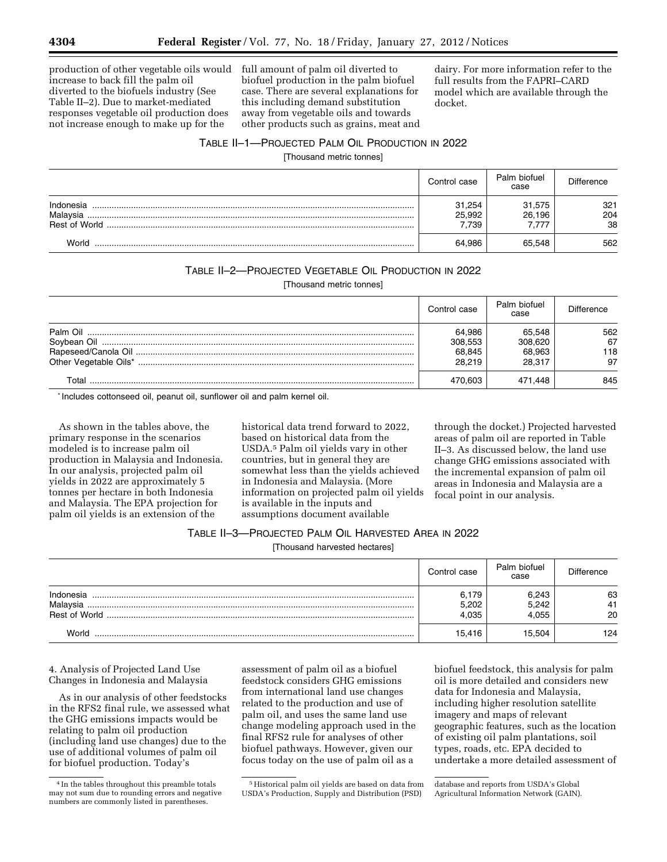production of other vegetable oils would increase to back fill the palm oil diverted to the biofuels industry (See Table II–2). Due to market-mediated responses vegetable oil production does not increase enough to make up for the

full amount of palm oil diverted to biofuel production in the palm biofuel case. There are several explanations for this including demand substitution away from vegetable oils and towards other products such as grains, meat and dairy. For more information refer to the full results from the FAPRI–CARD model which are available through the docket.

# TABLE II–1—PROJECTED PALM OIL PRODUCTION IN 2022

[Thousand metric tonnes]

|                                               | Control case              | Palm biofuel<br>case                      | Difference       |
|-----------------------------------------------|---------------------------|-------------------------------------------|------------------|
| Indonesia<br>Malaysia<br><b>Rest of World</b> | 31,254<br>25,992<br>7.739 | 31,575<br>26,196<br>$^{\prime}.^{\prime}$ | 321<br>204<br>38 |
| World                                         | 64,986                    | 65.548                                    | 562              |

# TABLE II–2—PROJECTED VEGETABLE OIL PRODUCTION IN 2022

[Thousand metric tonnes]

|          | Control case | Palm biofuel<br>case | <b>Difference</b> |
|----------|--------------|----------------------|-------------------|
| Palm Oil | 64,986       | 65.548               | 562               |
|          | 308,553      | 308.620              | 67                |
|          | 68,845       | 68.963               | 118               |
|          | 28.219       | 28.317               | 97                |
| Total    | 470.603      | 471.448              | 845               |

\* Includes cottonseed oil, peanut oil, sunflower oil and palm kernel oil.

As shown in the tables above, the primary response in the scenarios modeled is to increase palm oil production in Malaysia and Indonesia. In our analysis, projected palm oil yields in 2022 are approximately 5 tonnes per hectare in both Indonesia and Malaysia. The EPA projection for palm oil yields is an extension of the

historical data trend forward to 2022, based on historical data from the USDA.5 Palm oil yields vary in other countries, but in general they are somewhat less than the yields achieved in Indonesia and Malaysia. (More information on projected palm oil yields is available in the inputs and assumptions document available

through the docket.) Projected harvested areas of palm oil are reported in Table II–3. As discussed below, the land use change GHG emissions associated with the incremental expansion of palm oil areas in Indonesia and Malaysia are a focal point in our analysis.

# TABLE II–3—PROJECTED PALM OIL HARVESTED AREA IN 2022

[Thousand harvested hectares]

|                                               | Control case            | Palm biofuel<br>case    | Difference     |
|-----------------------------------------------|-------------------------|-------------------------|----------------|
| Indonesia<br>Malaysia<br><b>Rest of World</b> | 6,179<br>5,202<br>4.035 | 6,243<br>5,242<br>4.055 | 63<br>41<br>20 |
| World                                         | 15,416                  | 15,504                  | 124            |

4. Analysis of Projected Land Use Changes in Indonesia and Malaysia

As in our analysis of other feedstocks in the RFS2 final rule, we assessed what the GHG emissions impacts would be relating to palm oil production (including land use changes) due to the use of additional volumes of palm oil for biofuel production. Today's

assessment of palm oil as a biofuel feedstock considers GHG emissions from international land use changes related to the production and use of palm oil, and uses the same land use change modeling approach used in the final RFS2 rule for analyses of other biofuel pathways. However, given our focus today on the use of palm oil as a

biofuel feedstock, this analysis for palm oil is more detailed and considers new data for Indonesia and Malaysia, including higher resolution satellite imagery and maps of relevant geographic features, such as the location of existing oil palm plantations, soil types, roads, etc. EPA decided to undertake a more detailed assessment of

<sup>4</sup> In the tables throughout this preamble totals may not sum due to rounding errors and negative numbers are commonly listed in parentheses.

<sup>5</sup>Historical palm oil yields are based on data from USDA's Production, Supply and Distribution (PSD)

database and reports from USDA's Global Agricultural Information Network (GAIN).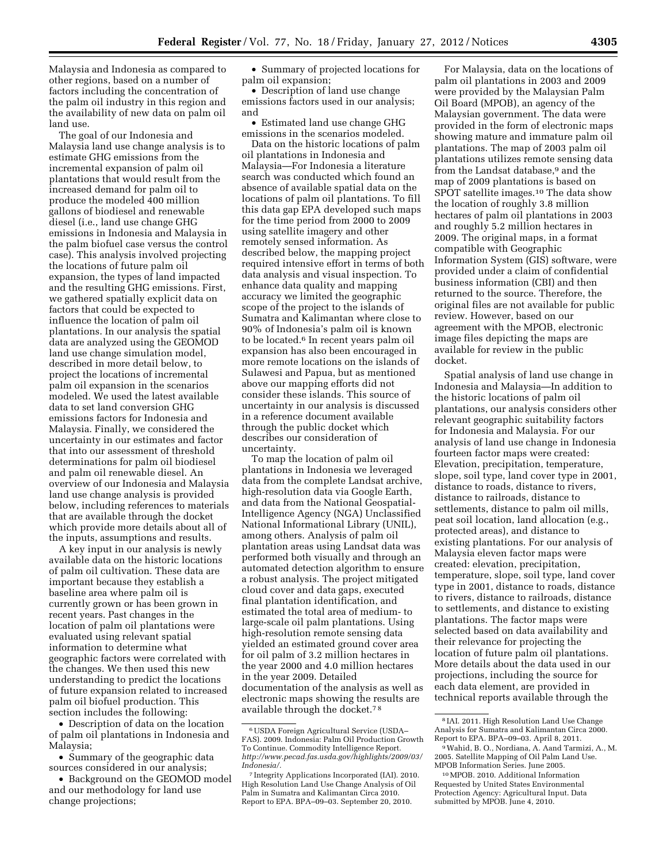Malaysia and Indonesia as compared to other regions, based on a number of factors including the concentration of the palm oil industry in this region and the availability of new data on palm oil land use.

The goal of our Indonesia and Malaysia land use change analysis is to estimate GHG emissions from the incremental expansion of palm oil plantations that would result from the increased demand for palm oil to produce the modeled 400 million gallons of biodiesel and renewable diesel (i.e., land use change GHG emissions in Indonesia and Malaysia in the palm biofuel case versus the control case). This analysis involved projecting the locations of future palm oil expansion, the types of land impacted and the resulting GHG emissions. First, we gathered spatially explicit data on factors that could be expected to influence the location of palm oil plantations. In our analysis the spatial data are analyzed using the GEOMOD land use change simulation model, described in more detail below, to project the locations of incremental palm oil expansion in the scenarios modeled. We used the latest available data to set land conversion GHG emissions factors for Indonesia and Malaysia. Finally, we considered the uncertainty in our estimates and factor that into our assessment of threshold determinations for palm oil biodiesel and palm oil renewable diesel. An overview of our Indonesia and Malaysia land use change analysis is provided below, including references to materials that are available through the docket which provide more details about all of the inputs, assumptions and results.

A key input in our analysis is newly available data on the historic locations of palm oil cultivation. These data are important because they establish a baseline area where palm oil is currently grown or has been grown in recent years. Past changes in the location of palm oil plantations were evaluated using relevant spatial information to determine what geographic factors were correlated with the changes. We then used this new understanding to predict the locations of future expansion related to increased palm oil biofuel production. This section includes the following:

• Description of data on the location of palm oil plantations in Indonesia and Malaysia;

- Summary of the geographic data sources considered in our analysis;
- Background on the GEOMOD model and our methodology for land use change projections;

• Summary of projected locations for palm oil expansion;

• Description of land use change emissions factors used in our analysis; and

• Estimated land use change GHG emissions in the scenarios modeled.

Data on the historic locations of palm oil plantations in Indonesia and Malaysia—For Indonesia a literature search was conducted which found an absence of available spatial data on the locations of palm oil plantations. To fill this data gap EPA developed such maps for the time period from 2000 to 2009 using satellite imagery and other remotely sensed information. As described below, the mapping project required intensive effort in terms of both data analysis and visual inspection. To enhance data quality and mapping accuracy we limited the geographic scope of the project to the islands of Sumatra and Kalimantan where close to 90% of Indonesia's palm oil is known to be located.6 In recent years palm oil expansion has also been encouraged in more remote locations on the islands of Sulawesi and Papua, but as mentioned above our mapping efforts did not consider these islands. This source of uncertainty in our analysis is discussed in a reference document available through the public docket which describes our consideration of uncertainty.

To map the location of palm oil plantations in Indonesia we leveraged data from the complete Landsat archive, high-resolution data via Google Earth, and data from the National Geospatial-Intelligence Agency (NGA) Unclassified National Informational Library (UNIL), among others. Analysis of palm oil plantation areas using Landsat data was performed both visually and through an automated detection algorithm to ensure a robust analysis. The project mitigated cloud cover and data gaps, executed final plantation identification, and estimated the total area of medium- to large-scale oil palm plantations. Using high-resolution remote sensing data yielded an estimated ground cover area for oil palm of 3.2 million hectares in the year 2000 and 4.0 million hectares in the year 2009. Detailed documentation of the analysis as well as electronic maps showing the results are available through the docket.7 8

For Malaysia, data on the locations of palm oil plantations in 2003 and 2009 were provided by the Malaysian Palm Oil Board (MPOB), an agency of the Malaysian government. The data were provided in the form of electronic maps showing mature and immature palm oil plantations. The map of 2003 palm oil plantations utilizes remote sensing data from the Landsat database,<sup>9</sup> and the map of 2009 plantations is based on SPOT satellite images.10 The data show the location of roughly 3.8 million hectares of palm oil plantations in 2003 and roughly 5.2 million hectares in 2009. The original maps, in a format compatible with Geographic Information System (GIS) software, were provided under a claim of confidential business information (CBI) and then returned to the source. Therefore, the original files are not available for public review. However, based on our agreement with the MPOB, electronic image files depicting the maps are available for review in the public docket.

Spatial analysis of land use change in Indonesia and Malaysia—In addition to the historic locations of palm oil plantations, our analysis considers other relevant geographic suitability factors for Indonesia and Malaysia. For our analysis of land use change in Indonesia fourteen factor maps were created: Elevation, precipitation, temperature, slope, soil type, land cover type in 2001, distance to roads, distance to rivers, distance to railroads, distance to settlements, distance to palm oil mills, peat soil location, land allocation (e.g., protected areas), and distance to existing plantations. For our analysis of Malaysia eleven factor maps were created: elevation, precipitation, temperature, slope, soil type, land cover type in 2001, distance to roads, distance to rivers, distance to railroads, distance to settlements, and distance to existing plantations. The factor maps were selected based on data availability and their relevance for projecting the location of future palm oil plantations. More details about the data used in our projections, including the source for each data element, are provided in technical reports available through the

<sup>6</sup>USDA Foreign Agricultural Service (USDA– FAS). 2009. Indonesia: Palm Oil Production Growth To Continue. Commodity Intelligence Report. *[http://www.pecad.fas.usda.gov/highlights/2009/03/](http://www.pecad.fas.usda.gov/highlights/2009/03/Indonesia/)  [Indonesia/.](http://www.pecad.fas.usda.gov/highlights/2009/03/Indonesia/)* 

<sup>7</sup> Integrity Applications Incorporated (IAI). 2010. High Resolution Land Use Change Analysis of Oil Palm in Sumatra and Kalimantan Circa 2010. Report to EPA. BPA–09–03. September 20, 2010.

<sup>8</sup> IAI. 2011. High Resolution Land Use Change Analysis for Sumatra and Kalimantan Circa 2000. Report to EPA. BPA–09–03. April 8, 2011.

<sup>9</sup>Wahid, B. O., Nordiana, A. Aand Tarmizi, A., M. 2005. Satellite Mapping of Oil Palm Land Use. MPOB Information Series. June 2005.

<sup>10</sup>MPOB. 2010. Additional Information Requested by United States Environmental Protection Agency: Agricultural Input. Data submitted by MPOB. June 4, 2010.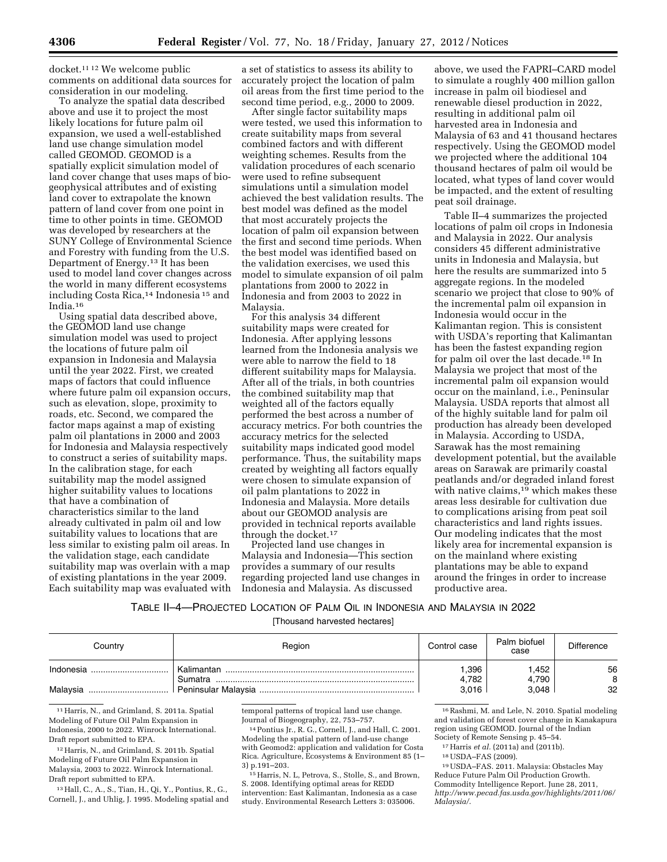docket.11 12 We welcome public comments on additional data sources for consideration in our modeling.

To analyze the spatial data described above and use it to project the most likely locations for future palm oil expansion, we used a well-established land use change simulation model called GEOMOD. GEOMOD is a spatially explicit simulation model of land cover change that uses maps of biogeophysical attributes and of existing land cover to extrapolate the known pattern of land cover from one point in time to other points in time. GEOMOD was developed by researchers at the SUNY College of Environmental Science and Forestry with funding from the U.S. Department of Energy.13 It has been used to model land cover changes across the world in many different ecosystems including Costa Rica,14 Indonesia 15 and India.16

Using spatial data described above, the GEOMOD land use change simulation model was used to project the locations of future palm oil expansion in Indonesia and Malaysia until the year 2022. First, we created maps of factors that could influence where future palm oil expansion occurs, such as elevation, slope, proximity to roads, etc. Second, we compared the factor maps against a map of existing palm oil plantations in 2000 and 2003 for Indonesia and Malaysia respectively to construct a series of suitability maps. In the calibration stage, for each suitability map the model assigned higher suitability values to locations that have a combination of characteristics similar to the land already cultivated in palm oil and low suitability values to locations that are less similar to existing palm oil areas. In the validation stage, each candidate suitability map was overlain with a map of existing plantations in the year 2009. Each suitability map was evaluated with

a set of statistics to assess its ability to accurately project the location of palm oil areas from the first time period to the second time period, e.g., 2000 to 2009.

After single factor suitability maps were tested, we used this information to create suitability maps from several combined factors and with different weighting schemes. Results from the validation procedures of each scenario were used to refine subsequent simulations until a simulation model achieved the best validation results. The best model was defined as the model that most accurately projects the location of palm oil expansion between the first and second time periods. When the best model was identified based on the validation exercises, we used this model to simulate expansion of oil palm plantations from 2000 to 2022 in Indonesia and from 2003 to 2022 in Malaysia.

For this analysis 34 different suitability maps were created for Indonesia. After applying lessons learned from the Indonesia analysis we were able to narrow the field to 18 different suitability maps for Malaysia. After all of the trials, in both countries the combined suitability map that weighted all of the factors equally performed the best across a number of accuracy metrics. For both countries the accuracy metrics for the selected suitability maps indicated good model performance. Thus, the suitability maps created by weighting all factors equally were chosen to simulate expansion of oil palm plantations to 2022 in Indonesia and Malaysia. More details about our GEOMOD analysis are provided in technical reports available through the docket.17

Projected land use changes in Malaysia and Indonesia—This section provides a summary of our results regarding projected land use changes in Indonesia and Malaysia. As discussed

above, we used the FAPRI–CARD model to simulate a roughly 400 million gallon increase in palm oil biodiesel and renewable diesel production in 2022, resulting in additional palm oil harvested area in Indonesia and Malaysia of 63 and 41 thousand hectares respectively. Using the GEOMOD model we projected where the additional 104 thousand hectares of palm oil would be located, what types of land cover would be impacted, and the extent of resulting peat soil drainage.

Table II–4 summarizes the projected locations of palm oil crops in Indonesia and Malaysia in 2022. Our analysis considers 45 different administrative units in Indonesia and Malaysia, but here the results are summarized into 5 aggregate regions. In the modeled scenario we project that close to 90% of the incremental palm oil expansion in Indonesia would occur in the Kalimantan region. This is consistent with USDA's reporting that Kalimantan has been the fastest expanding region for palm oil over the last decade.18 In Malaysia we project that most of the incremental palm oil expansion would occur on the mainland, i.e., Peninsular Malaysia. USDA reports that almost all of the highly suitable land for palm oil production has already been developed in Malaysia. According to USDA, Sarawak has the most remaining development potential, but the available areas on Sarawak are primarily coastal peatlands and/or degraded inland forest with native claims,<sup>19</sup> which makes these areas less desirable for cultivation due to complications arising from peat soil characteristics and land rights issues. Our modeling indicates that the most likely area for incremental expansion is on the mainland where existing plantations may be able to expand around the fringes in order to increase productive area.

# TABLE II–4—PROJECTED LOCATION OF PALM OIL IN INDONESIA AND MALAYSIA IN 2022

[Thousand harvested hectares]

| Countrv   | Region     | Control case | Palm biofuel<br>case | <b>Difference</b> |
|-----------|------------|--------------|----------------------|-------------------|
| Indonesia | Kalimantan | .396         | .452                 | 56                |
|           | Sumatra    | 4.782        | 4.790                | 8                 |
| Malavsia  |            | 3.016        | 3.048                | 32                |

11Harris, N., and Grimland, S. 2011a. Spatial Modeling of Future Oil Palm Expansion in Indonesia, 2000 to 2022. Winrock International. Draft report submitted to EPA.

12Harris, N., and Grimland, S. 2011b. Spatial Modeling of Future Oil Palm Expansion in Malaysia, 2003 to 2022. Winrock International. Draft report submitted to EPA.

13Hall, C., A., S., Tian, H., Qi, Y., Pontius, R., G., Cornell, J., and Uhlig, J. 1995. Modeling spatial and temporal patterns of tropical land use change. Journal of Biogeography, 22, 753–757.

14Pontius Jr., R. G., Cornell, J., and Hall, C. 2001. Modeling the spatial pattern of land-use change with Geomod2: application and validation for Costa Rica. Agriculture, Ecosystems & Environment 85 (1– 3) p.191–203.

15Harris, N. L, Petrova, S., Stolle, S., and Brown, S. 2008. Identifying optimal areas for REDD intervention: East Kalimantan, Indonesia as a case study. Environmental Research Letters 3: 035006.

16Rashmi, M. and Lele, N. 2010. Spatial modeling and validation of forest cover change in Kanakapura region using GEOMOD. Journal of the Indian Society of Remote Sensing p. 45–54.

<sup>17</sup> Harris *et al.* (2011a) and (2011b).

18USDA–FAS (2009).

19USDA–FAS. 2011. Malaysia: Obstacles May Reduce Future Palm Oil Production Growth. Commodity Intelligence Report. June 28, 2011, *[http://www.pecad.fas.usda.gov/highlights/2011/06/](http://www.pecad.fas.usda.gov/highlights/2011/06/Malaysia/)  [Malaysia/](http://www.pecad.fas.usda.gov/highlights/2011/06/Malaysia/)*.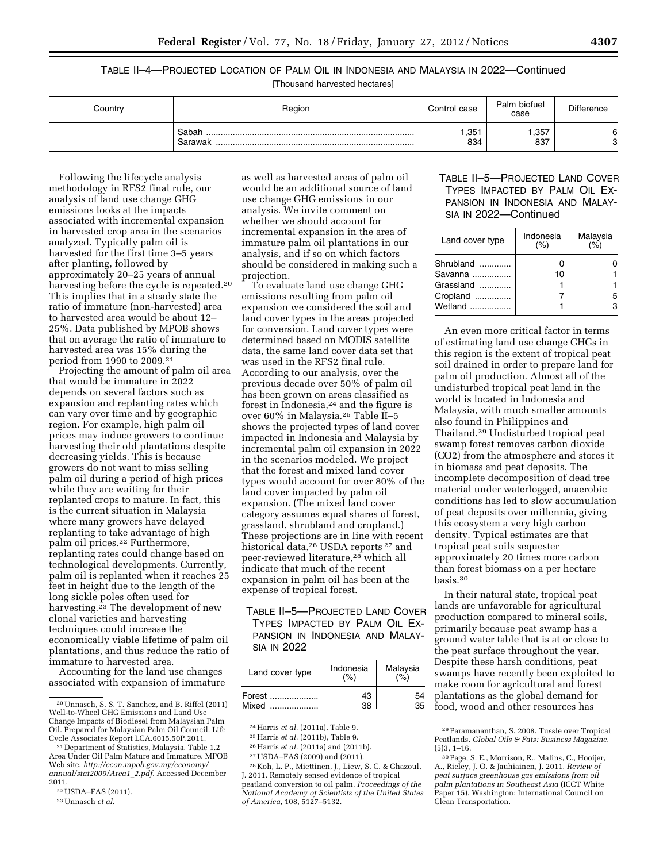TABLE II–4—PROJECTED LOCATION OF PALM OIL IN INDONESIA AND MALAYSIA IN 2022—Continued [Thousand harvested hectares]

| Country | Region           | Control case | Palm biofuel<br>case | <b>Difference</b> |
|---------|------------------|--------------|----------------------|-------------------|
|         | Sabah<br>Sarawak | 1,351<br>834 | 1,357<br>837         | ี<br>c            |

Following the lifecycle analysis methodology in RFS2 final rule, our analysis of land use change GHG emissions looks at the impacts associated with incremental expansion in harvested crop area in the scenarios analyzed. Typically palm oil is harvested for the first time 3–5 years after planting, followed by approximately 20–25 years of annual harvesting before the cycle is repeated.20 This implies that in a steady state the ratio of immature (non-harvested) area to harvested area would be about 12– 25%. Data published by MPOB shows that on average the ratio of immature to harvested area was 15% during the period from 1990 to 2009.21

Projecting the amount of palm oil area that would be immature in 2022 depends on several factors such as expansion and replanting rates which can vary over time and by geographic region. For example, high palm oil prices may induce growers to continue harvesting their old plantations despite decreasing yields. This is because growers do not want to miss selling palm oil during a period of high prices while they are waiting for their replanted crops to mature. In fact, this is the current situation in Malaysia where many growers have delayed replanting to take advantage of high palm oil prices.22 Furthermore, replanting rates could change based on technological developments. Currently, palm oil is replanted when it reaches 25 feet in height due to the length of the long sickle poles often used for harvesting.23 The development of new clonal varieties and harvesting techniques could increase the economically viable lifetime of palm oil plantations, and thus reduce the ratio of immature to harvested area.

Accounting for the land use changes associated with expansion of immature as well as harvested areas of palm oil would be an additional source of land use change GHG emissions in our analysis. We invite comment on whether we should account for incremental expansion in the area of immature palm oil plantations in our analysis, and if so on which factors should be considered in making such a projection.

To evaluate land use change GHG emissions resulting from palm oil expansion we considered the soil and land cover types in the areas projected for conversion. Land cover types were determined based on MODIS satellite data, the same land cover data set that was used in the RFS2 final rule. According to our analysis, over the previous decade over 50% of palm oil has been grown on areas classified as forest in Indonesia,24 and the figure is over 60% in Malaysia.25 Table II–5 shows the projected types of land cover impacted in Indonesia and Malaysia by incremental palm oil expansion in 2022 in the scenarios modeled. We project that the forest and mixed land cover types would account for over 80% of the land cover impacted by palm oil expansion. (The mixed land cover category assumes equal shares of forest, grassland, shrubland and cropland.) These projections are in line with recent historical data,<sup>26</sup> USDA reports<sup>27</sup> and peer-reviewed literature,28 which all indicate that much of the recent expansion in palm oil has been at the expense of tropical forest.

# TABLE II–5—PROJECTED LAND COVER TYPES IMPACTED BY PALM OIL EX-PANSION IN INDONESIA AND MALAY-SIA IN 2022

| Land cover type | Indonesia<br>(%) | Malaysia<br>(%) |
|-----------------|------------------|-----------------|
| Forest          | 43               | 54              |
| Mixed           | ЗR               | 35              |

<sup>&</sup>lt;sup>24</sup> Harris *et al.* (2011a), Table 9.

28 Koh, L. P., Miettinen, J., Liew, S. C. & Ghazoul, J. 2011. Remotely sensed evidence of tropical peatland conversion to oil palm. *Proceedings of the National Academy of Scientists of the United States of America,* 108, 5127–5132.

# TABLE II–5—PROJECTED LAND COVER TYPES IMPACTED BY PALM OIL EX-PANSION IN INDONESIA AND MALAY-SIA IN 2022—Continued

| Land cover type | Indonesia<br>(%) | Malaysia |
|-----------------|------------------|----------|
| Shrubland       |                  |          |
| Savanna         | 10               |          |
| Grassland       |                  |          |
| Cropland        |                  | 5        |
| Wetland         |                  |          |

An even more critical factor in terms of estimating land use change GHGs in this region is the extent of tropical peat soil drained in order to prepare land for palm oil production. Almost all of the undisturbed tropical peat land in the world is located in Indonesia and Malaysia, with much smaller amounts also found in Philippines and Thailand.29 Undisturbed tropical peat swamp forest removes carbon dioxide (CO2) from the atmosphere and stores it in biomass and peat deposits. The incomplete decomposition of dead tree material under waterlogged, anaerobic conditions has led to slow accumulation of peat deposits over millennia, giving this ecosystem a very high carbon density. Typical estimates are that tropical peat soils sequester approximately 20 times more carbon than forest biomass on a per hectare basis.30

In their natural state, tropical peat lands are unfavorable for agricultural production compared to mineral soils, primarily because peat swamp has a ground water table that is at or close to the peat surface throughout the year. Despite these harsh conditions, peat swamps have recently been exploited to make room for agricultural and forest plantations as the global demand for food, wood and other resources has

<sup>20</sup>Unnasch, S. S. T. Sanchez, and B. Riffel (2011) Well-to-Wheel GHG Emissions and Land Use Change Impacts of Biodiesel from Malaysian Palm Oil. Prepared for Malaysian Palm Oil Council. Life

<sup>&</sup>lt;sup>21</sup> Department of Statistics, Malaysia. Table 1.2 Area Under Oil Palm Mature and Immature. MPOB Web site, *[http://econ.mpob.gov.my/economy/](http://econ.mpob.gov.my/economy/annual/stat2009/Area1_2.pdf)  [annual/stat2009/Area1](http://econ.mpob.gov.my/economy/annual/stat2009/Area1_2.pdf)*\_*2.pdf.* Accessed December 2011.

<sup>22</sup>USDA–FAS (2011).

<sup>23</sup>Unnasch *et al.* 

<sup>&</sup>lt;sup>25</sup> Harris *et al.* (2011b), Table 9.

<sup>&</sup>lt;sup>26</sup> Harris *et al.* (2011a) and (2011b).

<sup>27</sup>USDA–FAS (2009) and (2011).

<sup>29</sup>Paramananthan, S. 2008. Tussle over Tropical Peatlands. *Global Oils & Fats: Business Magazine.*  (5)3, 1–16.

<sup>30</sup>Page, S. E., Morrison, R., Malins, C., Hooijer, A., Rieley, J. O. & Jauhiainen, J. 2011. *Review of peat surface greenhouse gas emissions from oil palm plantations in Southeast Asia* (ICCT White Paper 15). Washington: International Council on Clean Transportation.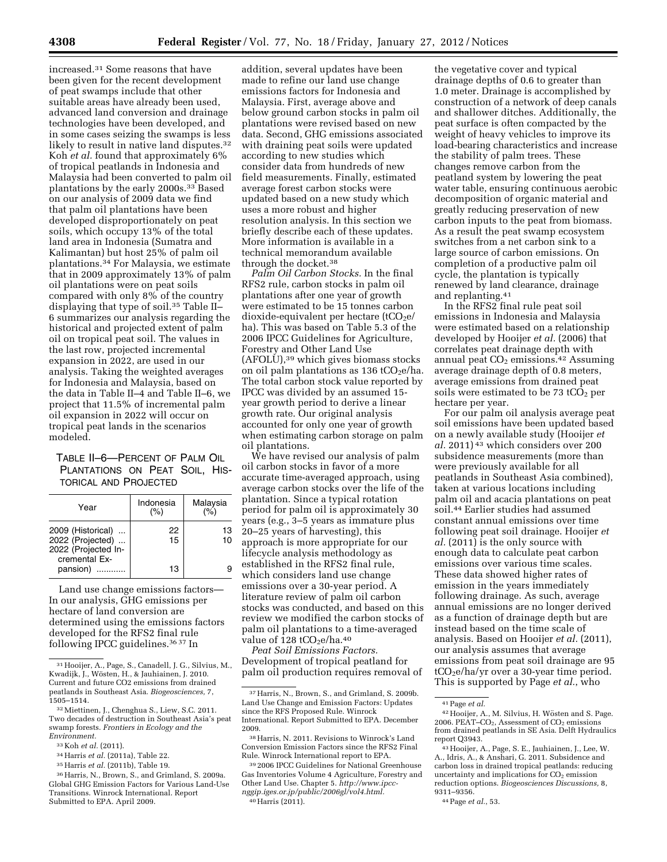increased.31 Some reasons that have been given for the recent development of peat swamps include that other suitable areas have already been used, advanced land conversion and drainage technologies have been developed, and in some cases seizing the swamps is less likely to result in native land disputes.<sup>32</sup> Koh *et al.* found that approximately 6% of tropical peatlands in Indonesia and Malaysia had been converted to palm oil plantations by the early 2000s.33 Based on our analysis of 2009 data we find that palm oil plantations have been developed disproportionately on peat soils, which occupy 13% of the total land area in Indonesia (Sumatra and Kalimantan) but host 25% of palm oil plantations.34 For Malaysia, we estimate

that in 2009 approximately 13% of palm oil plantations were on peat soils compared with only 8% of the country displaying that type of soil.35 Table II– 6 summarizes our analysis regarding the historical and projected extent of palm oil on tropical peat soil. The values in the last row, projected incremental expansion in 2022, are used in our analysis. Taking the weighted averages for Indonesia and Malaysia, based on the data in Table II–4 and Table II–6, we project that 11.5% of incremental palm oil expansion in 2022 will occur on tropical peat lands in the scenarios modeled.

# TABLE II–6—PERCENT OF PALM OIL PLANTATIONS ON PEAT SOIL, HIS-TORICAL AND PROJECTED

| Year                                                                          | Indonesia<br>(%) | Malaysia<br>(% ) |
|-------------------------------------------------------------------------------|------------------|------------------|
| 2009 (Historical)<br>2022 (Projected)<br>2022 (Projected In-<br>cremental Ex- | 22<br>15         | 13<br>10         |
| pansion)                                                                      | 13               |                  |

Land use change emissions factors— In our analysis, GHG emissions per hectare of land conversion are determined using the emissions factors developed for the RFS2 final rule following IPCC guidelines.36 37 In

33 Koh *et al.* (2011).

34Harris *et al.* (2011a), Table 22.

35Harris *et al.* (2011b), Table 19.

addition, several updates have been made to refine our land use change emissions factors for Indonesia and Malaysia. First, average above and below ground carbon stocks in palm oil plantations were revised based on new data. Second, GHG emissions associated with draining peat soils were updated according to new studies which consider data from hundreds of new field measurements. Finally, estimated average forest carbon stocks were updated based on a new study which uses a more robust and higher resolution analysis. In this section we briefly describe each of these updates. More information is available in a technical memorandum available through the docket.38

*Palm Oil Carbon Stocks.* In the final RFS2 rule, carbon stocks in palm oil plantations after one year of growth were estimated to be 15 tonnes carbon dioxide-equivalent per hectare  $(tCO<sub>2</sub>e$ ha). This was based on Table 5.3 of the 2006 IPCC Guidelines for Agriculture, Forestry and Other Land Use  $(AFOL\dot{U})$ ,<sup>39</sup> which gives biomass stocks on oil palm plantations as  $136 \text{ tCO}_2$ e/ha. The total carbon stock value reported by IPCC was divided by an assumed 15 year growth period to derive a linear growth rate. Our original analysis accounted for only one year of growth when estimating carbon storage on palm oil plantations.

We have revised our analysis of palm oil carbon stocks in favor of a more accurate time-averaged approach, using average carbon stocks over the life of the plantation. Since a typical rotation period for palm oil is approximately 30 years (e.g., 3–5 years as immature plus 20–25 years of harvesting), this approach is more appropriate for our lifecycle analysis methodology as established in the RFS2 final rule, which considers land use change emissions over a 30-year period. A literature review of palm oil carbon stocks was conducted, and based on this review we modified the carbon stocks of palm oil plantations to a time-averaged value of  $128$  tCO<sub>2</sub>e/ha.<sup>40</sup>

*Peat Soil Emissions Factors.*  Development of tropical peatland for palm oil production requires removal of

the vegetative cover and typical drainage depths of 0.6 to greater than 1.0 meter. Drainage is accomplished by construction of a network of deep canals and shallower ditches. Additionally, the peat surface is often compacted by the weight of heavy vehicles to improve its load-bearing characteristics and increase the stability of palm trees. These changes remove carbon from the peatland system by lowering the peat water table, ensuring continuous aerobic decomposition of organic material and greatly reducing preservation of new carbon inputs to the peat from biomass. As a result the peat swamp ecosystem switches from a net carbon sink to a large source of carbon emissions. On completion of a productive palm oil cycle, the plantation is typically renewed by land clearance, drainage and replanting.41

In the RFS2 final rule peat soil emissions in Indonesia and Malaysia were estimated based on a relationship developed by Hooijer *et al.* (2006) that correlates peat drainage depth with annual peat CO<sub>2</sub> emissions.<sup>42</sup> Assuming average drainage depth of 0.8 meters, average emissions from drained peat soils were estimated to be 73  $tCO<sub>2</sub>$  per hectare per year.

For our palm oil analysis average peat soil emissions have been updated based on a newly available study (Hooijer *et al.* 2011) 43 which considers over 200 subsidence measurements (more than were previously available for all peatlands in Southeast Asia combined), taken at various locations including palm oil and acacia plantations on peat soil.44 Earlier studies had assumed constant annual emissions over time following peat soil drainage. Hooijer *et al.* (2011) is the only source with enough data to calculate peat carbon emissions over various time scales. These data showed higher rates of emission in the years immediately following drainage. As such, average annual emissions are no longer derived as a function of drainage depth but are instead based on the time scale of analysis. Based on Hooijer *et al.* (2011), our analysis assumes that average emissions from peat soil drainage are 95  $tCO<sub>2</sub>e/ha/yr$  over a 30-year time period. This is supported by Page *et al.*, who

<sup>31</sup>Hooijer, A., Page, S., Canadell, J. G., Silvius, M., Kwadijk, J., Wösten, H., & Jauhiainen, J. 2010. Current and future CO2 emissions from drained peatlands in Southeast Asia. *Biogeosciences,* 7, 1505–1514.

<sup>32</sup>Miettinen, J., Chenghua S., Liew, S.C. 2011. Two decades of destruction in Southeast Asia's peat swamp forests. *Frontiers in Ecology and the Environment.* 

<sup>36</sup>Harris, N., Brown, S., and Grimland, S. 2009a. Global GHG Emission Factors for Various Land-Use Transitions. Winrock International. Report Submitted to EPA. April 2009.

<sup>37</sup>Harris, N., Brown, S., and Grimland, S. 2009b. Land Use Change and Emission Factors: Updates since the RFS Proposed Rule. Winrock International. Report Submitted to EPA. December 2009.

<sup>38</sup>Harris, N. 2011. Revisions to Winrock's Land Conversion Emission Factors since the RFS2 Final Rule. Winrock International report to EPA.

<sup>39</sup> 2006 IPCC Guidelines for National Greenhouse Gas Inventories Volume 4 Agriculture, Forestry and Other Land Use. Chapter 5. *[http://www.ipcc](http://www.ipcc-nggip.iges.or.jp/public/2006gl/vol4.html)[nggip.iges.or.jp/public/2006gl/vol4.html.](http://www.ipcc-nggip.iges.or.jp/public/2006gl/vol4.html)*  40Harris (2011).

<sup>41</sup>Page *et al.* 

<sup>&</sup>lt;sup>42</sup> Hooijer, A., M. Silvius, H. Wösten and S. Page. 2006. PEAT– $CO<sub>2</sub>$ . Assessment of  $CO<sub>2</sub>$  emissions from drained peatlands in SE Asia. Delft Hydraulics report Q3943.

<sup>43</sup>Hooijer, A., Page, S. E., Jauhiainen, J., Lee, W. A., Idris, A., & Anshari, G. 2011. Subsidence and carbon loss in drained tropical peatlands: reducing uncertainty and implications for  $CO<sub>2</sub>$  emission reduction options. *Biogeosciences Discussions,* 8, 9311–9356.

<sup>44</sup>Page *et al.*, 53.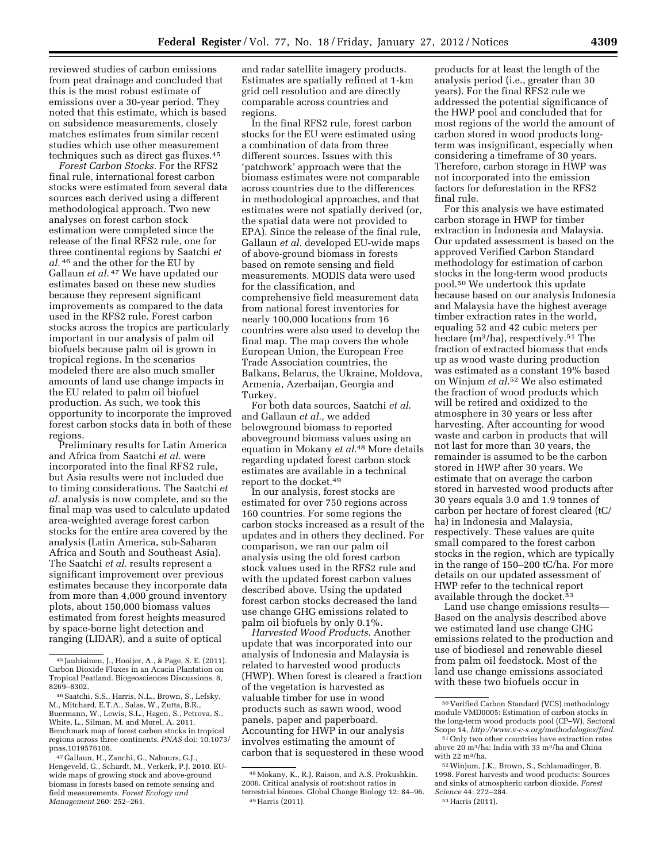reviewed studies of carbon emissions from peat drainage and concluded that this is the most robust estimate of emissions over a 30-year period. They noted that this estimate, which is based on subsidence measurements, closely matches estimates from similar recent studies which use other measurement techniques such as direct gas fluxes.45

*Forest Carbon Stocks.* For the RFS2 final rule, international forest carbon stocks were estimated from several data sources each derived using a different methodological approach. Two new analyses on forest carbon stock estimation were completed since the release of the final RFS2 rule, one for three continental regions by Saatchi *et al.* 46 and the other for the EU by Gallaun et al.<sup>47</sup> We have updated our estimates based on these new studies because they represent significant improvements as compared to the data used in the RFS2 rule. Forest carbon stocks across the tropics are particularly important in our analysis of palm oil biofuels because palm oil is grown in tropical regions. In the scenarios modeled there are also much smaller amounts of land use change impacts in the EU related to palm oil biofuel production. As such, we took this opportunity to incorporate the improved forest carbon stocks data in both of these regions.

Preliminary results for Latin America and Africa from Saatchi *et al.* were incorporated into the final RFS2 rule, but Asia results were not included due to timing considerations. The Saatchi *et al.* analysis is now complete, and so the final map was used to calculate updated area-weighted average forest carbon stocks for the entire area covered by the analysis (Latin America, sub-Saharan Africa and South and Southeast Asia). The Saatchi *et al.* results represent a significant improvement over previous estimates because they incorporate data from more than 4,000 ground inventory plots, about 150,000 biomass values estimated from forest heights measured by space-borne light detection and ranging (LIDAR), and a suite of optical

and radar satellite imagery products. Estimates are spatially refined at 1-km grid cell resolution and are directly comparable across countries and regions.

In the final RFS2 rule, forest carbon stocks for the EU were estimated using a combination of data from three different sources. Issues with this 'patchwork' approach were that the biomass estimates were not comparable across countries due to the differences in methodological approaches, and that estimates were not spatially derived (or, the spatial data were not provided to EPA). Since the release of the final rule, Gallaun *et al.* developed EU-wide maps of above-ground biomass in forests based on remote sensing and field measurements. MODIS data were used for the classification, and comprehensive field measurement data from national forest inventories for nearly 100,000 locations from 16 countries were also used to develop the final map. The map covers the whole European Union, the European Free Trade Association countries, the Balkans, Belarus, the Ukraine, Moldova, Armenia, Azerbaijan, Georgia and Turkey.

For both data sources, Saatchi *et al*. and Gallaun *et al.,* we added belowground biomass to reported aboveground biomass values using an equation in Mokany *et al*.48 More details regarding updated forest carbon stock estimates are available in a technical report to the docket.49

In our analysis, forest stocks are estimated for over 750 regions across 160 countries. For some regions the carbon stocks increased as a result of the updates and in others they declined. For comparison, we ran our palm oil analysis using the old forest carbon stock values used in the RFS2 rule and with the updated forest carbon values described above. Using the updated forest carbon stocks decreased the land use change GHG emissions related to palm oil biofuels by only 0.1%.

*Harvested Wood Products*. Another update that was incorporated into our analysis of Indonesia and Malaysia is related to harvested wood products (HWP). When forest is cleared a fraction of the vegetation is harvested as valuable timber for use in wood products such as sawn wood, wood panels, paper and paperboard. Accounting for HWP in our analysis involves estimating the amount of carbon that is sequestered in these wood

products for at least the length of the analysis period (i.e., greater than 30 years). For the final RFS2 rule we addressed the potential significance of the HWP pool and concluded that for most regions of the world the amount of carbon stored in wood products longterm was insignificant, especially when considering a timeframe of 30 years. Therefore, carbon storage in HWP was not incorporated into the emission factors for deforestation in the RFS2 final rule.

For this analysis we have estimated carbon storage in HWP for timber extraction in Indonesia and Malaysia. Our updated assessment is based on the approved Verified Carbon Standard methodology for estimation of carbon stocks in the long-term wood products pool.50 We undertook this update because based on our analysis Indonesia and Malaysia have the highest average timber extraction rates in the world, equaling 52 and 42 cubic meters per hectare (m3/ha), respectively.51 The fraction of extracted biomass that ends up as wood waste during production was estimated as a constant 19% based on Winjum *et al*.52 We also estimated the fraction of wood products which will be retired and oxidized to the atmosphere in 30 years or less after harvesting. After accounting for wood waste and carbon in products that will not last for more than 30 years, the remainder is assumed to be the carbon stored in HWP after 30 years. We estimate that on average the carbon stored in harvested wood products after 30 years equals 3.0 and 1.9 tonnes of carbon per hectare of forest cleared (tC/ ha) in Indonesia and Malaysia, respectively. These values are quite small compared to the forest carbon stocks in the region, which are typically in the range of 150–200 tC/ha. For more details on our updated assessment of HWP refer to the technical report available through the docket.53

Land use change emissions results— Based on the analysis described above we estimated land use change GHG emissions related to the production and use of biodiesel and renewable diesel from palm oil feedstock. Most of the land use change emissions associated with these two biofuels occur in

<sup>45</sup> Jauhiainen, J., Hooijer, A., & Page, S. E. (2011). Carbon Dioxide Fluxes in an Acacia Plantation on Tropical Peatland. Biogeosciences Discussions, 8, 8269–8302.

<sup>46</sup>Saatchi, S.S., Harris, N.L., Brown, S., Lefsky, M., Mitchard, E.T.A., Salas, W., Zutta, B.R., Buermann, W., Lewis, S.L., Hagen, S., Petrova, S., White, L., Silman, M. and Morel, A. 2011. Benchmark map of forest carbon stocks in tropical regions across three continents. *PNAS* doi: 10.1073/ pnas.1019576108.

<sup>47</sup> Gallaun, H., Zanchi, G., Nabuurs, G.J., Hengeveld, G., Schardt, M., Verkerk, P.J. 2010. EUwide maps of growing stock and above-ground biomass in forests based on remote sensing and field measurements. *Forest Ecology and Management* 260: 252–261.

<sup>48</sup>Mokany, K., R.J. Raison, and A.S. Prokushkin. 2006. Critical analysis of root:shoot ratios in terrestrial biomes. Global Change Biology 12: 84–96. 49Harris (2011).

<sup>50</sup> Verified Carbon Standard (VCS) methodology module VMD0005: Estimation of carbon stocks in the long-term wood products pool (CP–W), Sectoral Scope 14, *<http://www.v-c-s.org/methodologies/find>*.

<sup>51</sup>Only two other countries have extraction rates above 20 m<sup>3</sup>/ha: India with 33 m<sup>3</sup>/ha and China with 22 m3/ha.

<sup>52</sup>Winjum, J.K., Brown, S., Schlamadinger, B. 1998. Forest harvests and wood products: Sources and sinks of atmospheric carbon dioxide. *Forest Science* 44: 272–284.

<sup>53</sup>Harris (2011).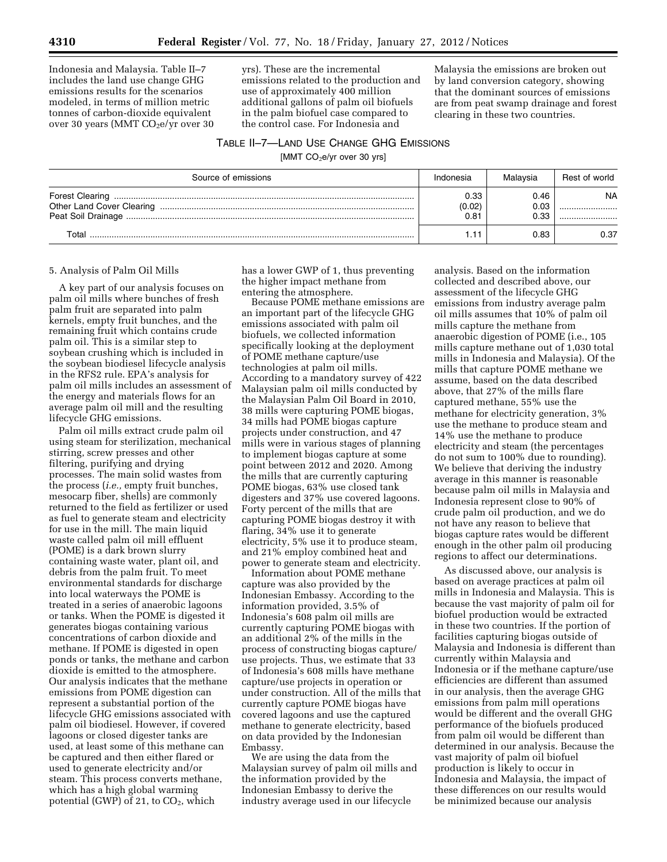Indonesia and Malaysia. Table II–7 includes the land use change GHG emissions results for the scenarios modeled, in terms of million metric tonnes of carbon-dioxide equivalent over 30 years (MMT CO<sub>2</sub>e/yr over 30 yrs). These are the incremental emissions related to the production and use of approximately 400 million additional gallons of palm oil biofuels in the palm biofuel case compared to the control case. For Indonesia and

Malaysia the emissions are broken out by land conversion category, showing that the dominant sources of emissions are from peat swamp drainage and forest clearing in these two countries.

# TABLE II–7—LAND USE CHANGE GHG EMISSIONS

[MMT CO<sub>2</sub>e/yr over 30 yrs]

| Source of emissions | Indonesia              | Malavsia             | Rest of world |
|---------------------|------------------------|----------------------|---------------|
|                     | 0.33<br>(0.02)<br>0.81 | 0.46<br>0.03<br>0.33 | <b>NA</b>     |
| Г∩tal               | $.1^{\circ}$           | 0.83                 | 0.37          |

## 5. Analysis of Palm Oil Mills

A key part of our analysis focuses on palm oil mills where bunches of fresh palm fruit are separated into palm kernels, empty fruit bunches, and the remaining fruit which contains crude palm oil. This is a similar step to soybean crushing which is included in the soybean biodiesel lifecycle analysis in the RFS2 rule. EPA's analysis for palm oil mills includes an assessment of the energy and materials flows for an average palm oil mill and the resulting lifecycle GHG emissions.

Palm oil mills extract crude palm oil using steam for sterilization, mechanical stirring, screw presses and other filtering, purifying and drying processes. The main solid wastes from the process (*i.e.,* empty fruit bunches, mesocarp fiber, shells) are commonly returned to the field as fertilizer or used as fuel to generate steam and electricity for use in the mill. The main liquid waste called palm oil mill effluent (POME) is a dark brown slurry containing waste water, plant oil, and debris from the palm fruit. To meet environmental standards for discharge into local waterways the POME is treated in a series of anaerobic lagoons or tanks. When the POME is digested it generates biogas containing various concentrations of carbon dioxide and methane. If POME is digested in open ponds or tanks, the methane and carbon dioxide is emitted to the atmosphere. Our analysis indicates that the methane emissions from POME digestion can represent a substantial portion of the lifecycle GHG emissions associated with palm oil biodiesel. However, if covered lagoons or closed digester tanks are used, at least some of this methane can be captured and then either flared or used to generate electricity and/or steam. This process converts methane, which has a high global warming potential (GWP) of 21, to  $CO<sub>2</sub>$ , which

has a lower GWP of 1, thus preventing the higher impact methane from entering the atmosphere.

Because POME methane emissions are an important part of the lifecycle GHG emissions associated with palm oil biofuels, we collected information specifically looking at the deployment of POME methane capture/use technologies at palm oil mills. According to a mandatory survey of 422 Malaysian palm oil mills conducted by the Malaysian Palm Oil Board in 2010, 38 mills were capturing POME biogas, 34 mills had POME biogas capture projects under construction, and 47 mills were in various stages of planning to implement biogas capture at some point between 2012 and 2020. Among the mills that are currently capturing POME biogas, 63% use closed tank digesters and 37% use covered lagoons. Forty percent of the mills that are capturing POME biogas destroy it with flaring, 34% use it to generate electricity, 5% use it to produce steam, and 21% employ combined heat and power to generate steam and electricity.

Information about POME methane capture was also provided by the Indonesian Embassy. According to the information provided, 3.5% of Indonesia's 608 palm oil mills are currently capturing POME biogas with an additional 2% of the mills in the process of constructing biogas capture/ use projects. Thus, we estimate that 33 of Indonesia's 608 mills have methane capture/use projects in operation or under construction. All of the mills that currently capture POME biogas have covered lagoons and use the captured methane to generate electricity, based on data provided by the Indonesian Embassy.

We are using the data from the Malaysian survey of palm oil mills and the information provided by the Indonesian Embassy to derive the industry average used in our lifecycle

analysis. Based on the information collected and described above, our assessment of the lifecycle GHG emissions from industry average palm oil mills assumes that 10% of palm oil mills capture the methane from anaerobic digestion of POME (i.e., 105 mills capture methane out of 1,030 total mills in Indonesia and Malaysia). Of the mills that capture POME methane we assume, based on the data described above, that 27% of the mills flare captured methane, 55% use the methane for electricity generation, 3% use the methane to produce steam and 14% use the methane to produce electricity and steam (the percentages do not sum to 100% due to rounding). We believe that deriving the industry average in this manner is reasonable because palm oil mills in Malaysia and Indonesia represent close to 90% of crude palm oil production, and we do not have any reason to believe that biogas capture rates would be different enough in the other palm oil producing regions to affect our determinations.

As discussed above, our analysis is based on average practices at palm oil mills in Indonesia and Malaysia. This is because the vast majority of palm oil for biofuel production would be extracted in these two countries. If the portion of facilities capturing biogas outside of Malaysia and Indonesia is different than currently within Malaysia and Indonesia or if the methane capture/use efficiencies are different than assumed in our analysis, then the average GHG emissions from palm mill operations would be different and the overall GHG performance of the biofuels produced from palm oil would be different than determined in our analysis. Because the vast majority of palm oil biofuel production is likely to occur in Indonesia and Malaysia, the impact of these differences on our results would be minimized because our analysis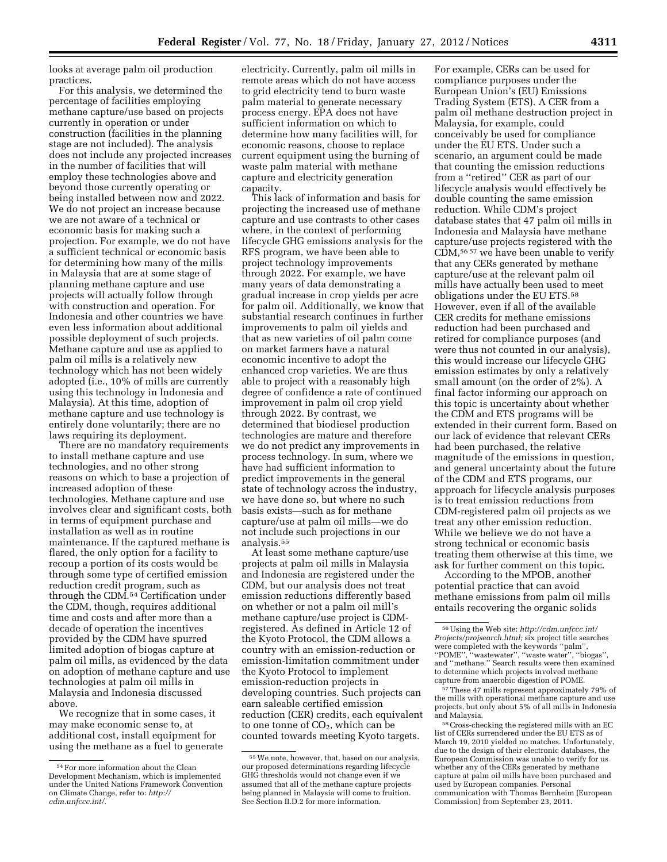looks at average palm oil production practices.

For this analysis, we determined the percentage of facilities employing methane capture/use based on projects currently in operation or under construction (facilities in the planning stage are not included). The analysis does not include any projected increases in the number of facilities that will employ these technologies above and beyond those currently operating or being installed between now and 2022. We do not project an increase because we are not aware of a technical or economic basis for making such a projection. For example, we do not have a sufficient technical or economic basis for determining how many of the mills in Malaysia that are at some stage of planning methane capture and use projects will actually follow through with construction and operation. For Indonesia and other countries we have even less information about additional possible deployment of such projects. Methane capture and use as applied to palm oil mills is a relatively new technology which has not been widely adopted (i.e., 10% of mills are currently using this technology in Indonesia and Malaysia). At this time, adoption of methane capture and use technology is entirely done voluntarily; there are no laws requiring its deployment.

There are no mandatory requirements to install methane capture and use technologies, and no other strong reasons on which to base a projection of increased adoption of these technologies. Methane capture and use involves clear and significant costs, both in terms of equipment purchase and installation as well as in routine maintenance. If the captured methane is flared, the only option for a facility to recoup a portion of its costs would be through some type of certified emission reduction credit program, such as through the CDM.54 Certification under the CDM, though, requires additional time and costs and after more than a decade of operation the incentives provided by the CDM have spurred limited adoption of biogas capture at palm oil mills, as evidenced by the data on adoption of methane capture and use technologies at palm oil mills in Malaysia and Indonesia discussed above.

We recognize that in some cases, it may make economic sense to, at additional cost, install equipment for using the methane as a fuel to generate

electricity. Currently, palm oil mills in remote areas which do not have access to grid electricity tend to burn waste palm material to generate necessary process energy. EPA does not have sufficient information on which to determine how many facilities will, for economic reasons, choose to replace current equipment using the burning of waste palm material with methane capture and electricity generation capacity.

This lack of information and basis for projecting the increased use of methane capture and use contrasts to other cases where, in the context of performing lifecycle GHG emissions analysis for the RFS program, we have been able to project technology improvements through 2022. For example, we have many years of data demonstrating a gradual increase in crop yields per acre for palm oil. Additionally, we know that substantial research continues in further improvements to palm oil yields and that as new varieties of oil palm come on market farmers have a natural economic incentive to adopt the enhanced crop varieties. We are thus able to project with a reasonably high degree of confidence a rate of continued improvement in palm oil crop yield through 2022. By contrast, we determined that biodiesel production technologies are mature and therefore we do not predict any improvements in process technology. In sum, where we have had sufficient information to predict improvements in the general state of technology across the industry, we have done so, but where no such basis exists—such as for methane capture/use at palm oil mills—we do not include such projections in our analysis.55

At least some methane capture/use projects at palm oil mills in Malaysia and Indonesia are registered under the CDM, but our analysis does not treat emission reductions differently based on whether or not a palm oil mill's methane capture/use project is CDMregistered. As defined in Article 12 of the Kyoto Protocol, the CDM allows a country with an emission-reduction or emission-limitation commitment under the Kyoto Protocol to implement emission-reduction projects in developing countries. Such projects can earn saleable certified emission reduction (CER) credits, each equivalent to one tonne of  $CO<sub>2</sub>$ , which can be counted towards meeting Kyoto targets.

For example, CERs can be used for compliance purposes under the European Union's (EU) Emissions Trading System (ETS). A CER from a palm oil methane destruction project in Malaysia, for example, could conceivably be used for compliance under the EU ETS. Under such a scenario, an argument could be made that counting the emission reductions from a ''retired'' CER as part of our lifecycle analysis would effectively be double counting the same emission reduction. While CDM's project database states that 47 palm oil mills in Indonesia and Malaysia have methane capture/use projects registered with the CDM,56 57 we have been unable to verify that any CERs generated by methane capture/use at the relevant palm oil mills have actually been used to meet obligations under the EU ETS.58 However, even if all of the available CER credits for methane emissions reduction had been purchased and retired for compliance purposes (and were thus not counted in our analysis), this would increase our lifecycle GHG emission estimates by only a relatively small amount (on the order of 2%). A final factor informing our approach on this topic is uncertainty about whether the CDM and ETS programs will be extended in their current form. Based on our lack of evidence that relevant CERs had been purchased, the relative magnitude of the emissions in question, and general uncertainty about the future of the CDM and ETS programs, our approach for lifecycle analysis purposes is to treat emission reductions from CDM-registered palm oil projects as we treat any other emission reduction. While we believe we do not have a strong technical or economic basis treating them otherwise at this time, we ask for further comment on this topic.

According to the MPOB, another potential practice that can avoid methane emissions from palm oil mills entails recovering the organic solids

<sup>54</sup>For more information about the Clean Development Mechanism, which is implemented under the United Nations Framework Convention on Climate Change, refer to: *[http://](http://cdm.unfccc.int/)  [cdm.unfccc.int/.](http://cdm.unfccc.int/)* 

<sup>55</sup>We note, however, that, based on our analysis, our proposed determinations regarding lifecycle GHG thresholds would not change even if we assumed that all of the methane capture projects being planned in Malaysia will come to fruition. See Section II.D.2 for more information.

<sup>56</sup>Using the Web site: *[http://cdm.unfccc.int/](http://cdm.unfccc.int/Projects/projsearch.html)  [Projects/projsearch.html;](http://cdm.unfccc.int/Projects/projsearch.html)* six project title searches were completed with the keywords ''palm'', ''POME'', ''wastewater'', ''waste water'', ''biogas'', and ''methane.'' Search results were then examined to determine which projects involved methane capture from anaerobic digestion of POME.

<sup>57</sup>These 47 mills represent approximately 79% of the mills with operational methane capture and use projects, but only about 5% of all mills in Indonesia

 $58$  Cross-checking the registered mills with an EC list of CERs surrendered under the EU ETS as of March 19, 2010 yielded no matches. Unfortunately, due to the design of their electronic databases, the European Commission was unable to verify for us whether any of the CERs generated by methane capture at palm oil mills have been purchased and used by European companies. Personal communication with Thomas Bernheim (European Commission) from September 23, 2011.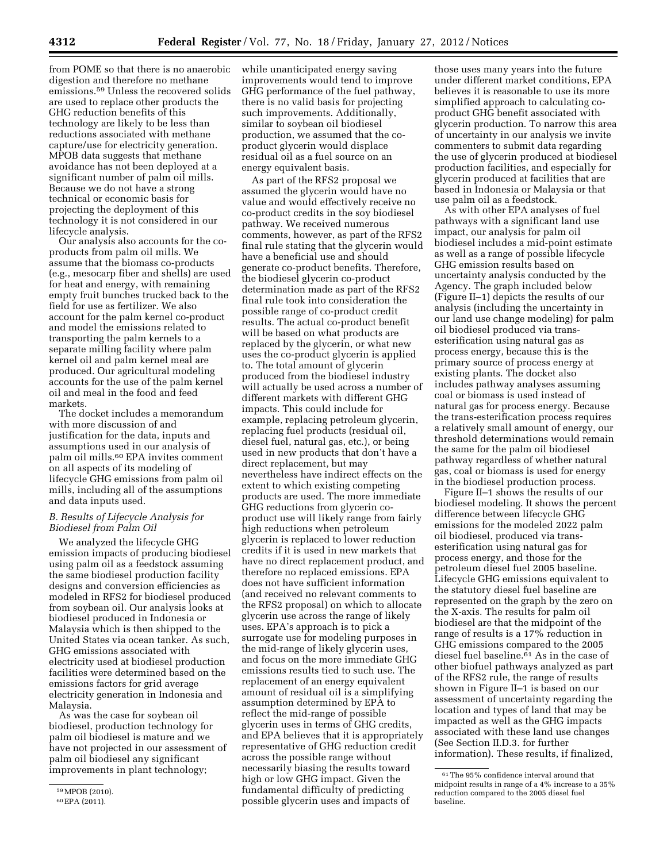from POME so that there is no anaerobic digestion and therefore no methane emissions.59 Unless the recovered solids are used to replace other products the GHG reduction benefits of this technology are likely to be less than reductions associated with methane capture/use for electricity generation. MPOB data suggests that methane avoidance has not been deployed at a significant number of palm oil mills. Because we do not have a strong technical or economic basis for projecting the deployment of this technology it is not considered in our lifecycle analysis.

Our analysis also accounts for the coproducts from palm oil mills. We assume that the biomass co-products (e.g., mesocarp fiber and shells) are used for heat and energy, with remaining empty fruit bunches trucked back to the field for use as fertilizer. We also account for the palm kernel co-product and model the emissions related to transporting the palm kernels to a separate milling facility where palm kernel oil and palm kernel meal are produced. Our agricultural modeling accounts for the use of the palm kernel oil and meal in the food and feed markets.

The docket includes a memorandum with more discussion of and justification for the data, inputs and assumptions used in our analysis of palm oil mills.60 EPA invites comment on all aspects of its modeling of lifecycle GHG emissions from palm oil mills, including all of the assumptions and data inputs used.

# *B. Results of Lifecycle Analysis for Biodiesel from Palm Oil*

We analyzed the lifecycle GHG emission impacts of producing biodiesel using palm oil as a feedstock assuming the same biodiesel production facility designs and conversion efficiencies as modeled in RFS2 for biodiesel produced from soybean oil. Our analysis looks at biodiesel produced in Indonesia or Malaysia which is then shipped to the United States via ocean tanker. As such, GHG emissions associated with electricity used at biodiesel production facilities were determined based on the emissions factors for grid average electricity generation in Indonesia and Malaysia.

As was the case for soybean oil biodiesel, production technology for palm oil biodiesel is mature and we have not projected in our assessment of palm oil biodiesel any significant improvements in plant technology;

while unanticipated energy saving improvements would tend to improve GHG performance of the fuel pathway, there is no valid basis for projecting such improvements. Additionally, similar to soybean oil biodiesel production, we assumed that the coproduct glycerin would displace residual oil as a fuel source on an energy equivalent basis.

As part of the RFS2 proposal we assumed the glycerin would have no value and would effectively receive no co-product credits in the soy biodiesel pathway. We received numerous comments, however, as part of the RFS2 final rule stating that the glycerin would have a beneficial use and should generate co-product benefits. Therefore, the biodiesel glycerin co-product determination made as part of the RFS2 final rule took into consideration the possible range of co-product credit results. The actual co-product benefit will be based on what products are replaced by the glycerin, or what new uses the co-product glycerin is applied to. The total amount of glycerin produced from the biodiesel industry will actually be used across a number of different markets with different GHG impacts. This could include for example, replacing petroleum glycerin, replacing fuel products (residual oil, diesel fuel, natural gas, etc.), or being used in new products that don't have a direct replacement, but may nevertheless have indirect effects on the extent to which existing competing products are used. The more immediate GHG reductions from glycerin coproduct use will likely range from fairly high reductions when petroleum glycerin is replaced to lower reduction credits if it is used in new markets that have no direct replacement product, and therefore no replaced emissions. EPA does not have sufficient information (and received no relevant comments to the RFS2 proposal) on which to allocate glycerin use across the range of likely uses. EPA's approach is to pick a surrogate use for modeling purposes in the mid-range of likely glycerin uses, and focus on the more immediate GHG emissions results tied to such use. The replacement of an energy equivalent amount of residual oil is a simplifying assumption determined by EPA to reflect the mid-range of possible glycerin uses in terms of GHG credits, and EPA believes that it is appropriately representative of GHG reduction credit across the possible range without necessarily biasing the results toward high or low GHG impact. Given the fundamental difficulty of predicting possible glycerin uses and impacts of

those uses many years into the future under different market conditions, EPA believes it is reasonable to use its more simplified approach to calculating coproduct GHG benefit associated with glycerin production. To narrow this area of uncertainty in our analysis we invite commenters to submit data regarding the use of glycerin produced at biodiesel production facilities, and especially for glycerin produced at facilities that are based in Indonesia or Malaysia or that use palm oil as a feedstock.

As with other EPA analyses of fuel pathways with a significant land use impact, our analysis for palm oil biodiesel includes a mid-point estimate as well as a range of possible lifecycle GHG emission results based on uncertainty analysis conducted by the Agency. The graph included below (Figure II–1) depicts the results of our analysis (including the uncertainty in our land use change modeling) for palm oil biodiesel produced via transesterification using natural gas as process energy, because this is the primary source of process energy at existing plants. The docket also includes pathway analyses assuming coal or biomass is used instead of natural gas for process energy. Because the trans-esterification process requires a relatively small amount of energy, our threshold determinations would remain the same for the palm oil biodiesel pathway regardless of whether natural gas, coal or biomass is used for energy in the biodiesel production process.

Figure II–1 shows the results of our biodiesel modeling. It shows the percent difference between lifecycle GHG emissions for the modeled 2022 palm oil biodiesel, produced via transesterification using natural gas for process energy, and those for the petroleum diesel fuel 2005 baseline. Lifecycle GHG emissions equivalent to the statutory diesel fuel baseline are represented on the graph by the zero on the X-axis. The results for palm oil biodiesel are that the midpoint of the range of results is a 17% reduction in GHG emissions compared to the 2005 diesel fuel baseline.61 As in the case of other biofuel pathways analyzed as part of the RFS2 rule, the range of results shown in Figure II–1 is based on our assessment of uncertainty regarding the location and types of land that may be impacted as well as the GHG impacts associated with these land use changes (See Section II.D.3. for further information). These results, if finalized,

<sup>59</sup>MPOB (2010).

<sup>60</sup>EPA (2011).

<sup>61</sup>The 95% confidence interval around that midpoint results in range of a 4% increase to a 35% reduction compared to the 2005 diesel fuel baseline.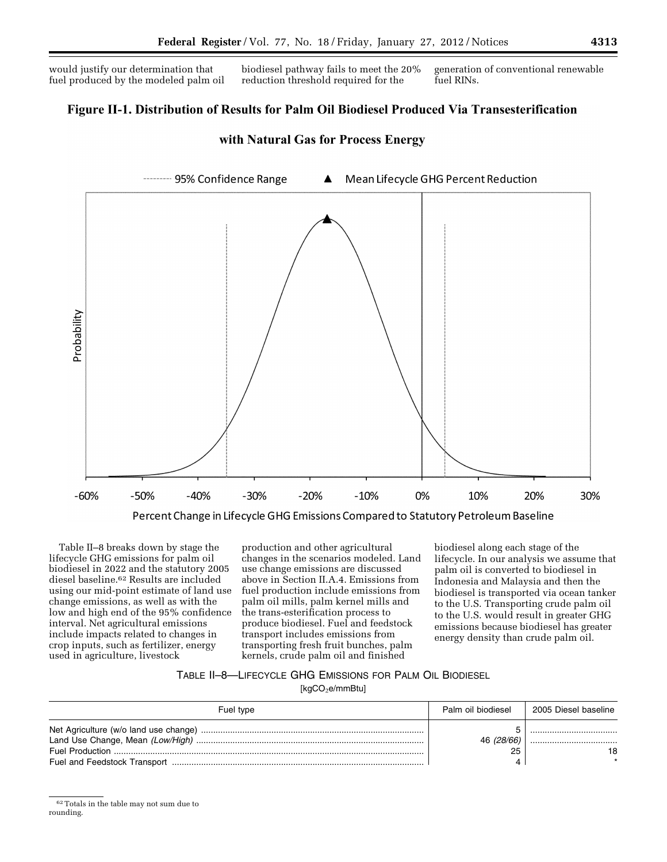would justify our determination that fuel produced by the modeled palm oil

biodiesel pathway fails to meet the 20% reduction threshold required for the

generation of conventional renewable fuel RINs.

# Figure II-1. Distribution of Results for Palm Oil Biodiesel Produced Via Transesterification

# with Natural Gas for Process Energy



Table II–8 breaks down by stage the lifecycle GHG emissions for palm oil biodiesel in 2022 and the statutory 2005 diesel baseline.62 Results are included using our mid-point estimate of land use change emissions, as well as with the low and high end of the 95% confidence interval. Net agricultural emissions include impacts related to changes in crop inputs, such as fertilizer, energy used in agriculture, livestock

production and other agricultural changes in the scenarios modeled. Land use change emissions are discussed above in Section II.A.4. Emissions from fuel production include emissions from palm oil mills, palm kernel mills and the trans-esterification process to produce biodiesel. Fuel and feedstock transport includes emissions from transporting fresh fruit bunches, palm kernels, crude palm oil and finished

biodiesel along each stage of the lifecycle. In our analysis we assume that palm oil is converted to biodiesel in Indonesia and Malaysia and then the biodiesel is transported via ocean tanker to the U.S. Transporting crude palm oil to the U.S. would result in greater GHG emissions because biodiesel has greater energy density than crude palm oil.

## TABLE II–8—LIFECYCLE GHG EMISSIONS FOR PALM OIL BIODIESEL

[kgCO<sub>2</sub>e/mmBtu]

| Fuel type | Palm oil biodiesel | 2005 Diesel baseline |
|-----------|--------------------|----------------------|
|           | 46 (28/66)<br>25   | 18                   |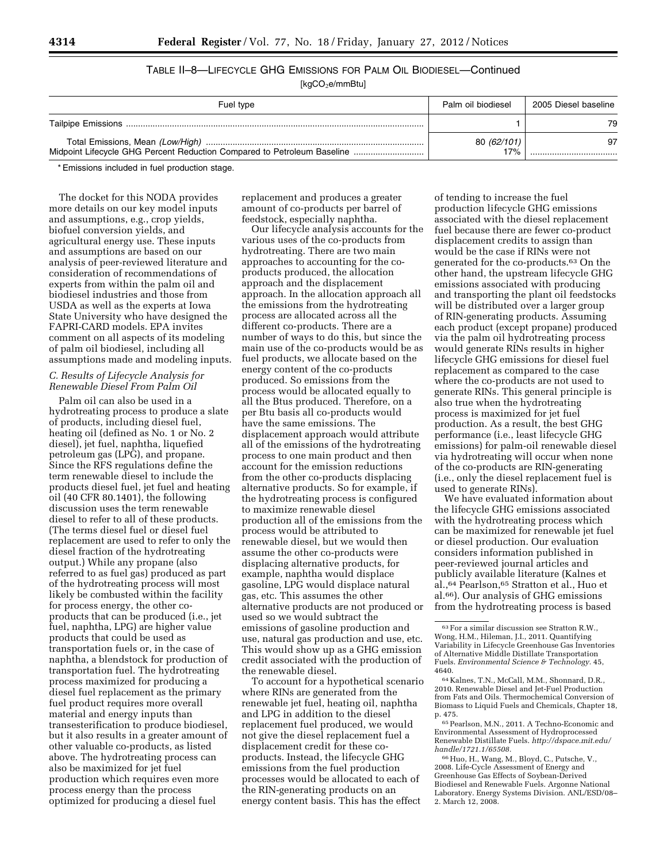# TABLE II–8—LIFECYCLE GHG EMISSIONS FOR PALM OIL BIODIESEL—Continued

[kgCO<sub>2</sub>e/mmBtu]

| Fuel type | Palm oil biodiesel | 2005 Diesel baseline |
|-----------|--------------------|----------------------|
|           |                    | 79                   |
|           | 80 (62/101)<br>17% | 97                   |

\* Emissions included in fuel production stage.

The docket for this NODA provides more details on our key model inputs and assumptions, e.g., crop yields, biofuel conversion yields, and agricultural energy use. These inputs and assumptions are based on our analysis of peer-reviewed literature and consideration of recommendations of experts from within the palm oil and biodiesel industries and those from USDA as well as the experts at Iowa State University who have designed the FAPRI-CARD models. EPA invites comment on all aspects of its modeling of palm oil biodiesel, including all assumptions made and modeling inputs.

# *C. Results of Lifecycle Analysis for Renewable Diesel From Palm Oil*

Palm oil can also be used in a hydrotreating process to produce a slate of products, including diesel fuel, heating oil (defined as No. 1 or No. 2 diesel), jet fuel, naphtha, liquefied petroleum gas (LPG), and propane. Since the RFS regulations define the term renewable diesel to include the products diesel fuel, jet fuel and heating oil (40 CFR 80.1401), the following discussion uses the term renewable diesel to refer to all of these products. (The terms diesel fuel or diesel fuel replacement are used to refer to only the diesel fraction of the hydrotreating output.) While any propane (also referred to as fuel gas) produced as part of the hydrotreating process will most likely be combusted within the facility for process energy, the other coproducts that can be produced (i.e., jet fuel, naphtha, LPG) are higher value products that could be used as transportation fuels or, in the case of naphtha, a blendstock for production of transportation fuel. The hydrotreating process maximized for producing a diesel fuel replacement as the primary fuel product requires more overall material and energy inputs than transesterification to produce biodiesel, but it also results in a greater amount of other valuable co-products, as listed above. The hydrotreating process can also be maximized for jet fuel production which requires even more process energy than the process optimized for producing a diesel fuel

replacement and produces a greater amount of co-products per barrel of feedstock, especially naphtha.

Our lifecycle analysis accounts for the various uses of the co-products from hydrotreating. There are two main approaches to accounting for the coproducts produced, the allocation approach and the displacement approach. In the allocation approach all the emissions from the hydrotreating process are allocated across all the different co-products. There are a number of ways to do this, but since the main use of the co-products would be as fuel products, we allocate based on the energy content of the co-products produced. So emissions from the process would be allocated equally to all the Btus produced. Therefore, on a per Btu basis all co-products would have the same emissions. The displacement approach would attribute all of the emissions of the hydrotreating process to one main product and then account for the emission reductions from the other co-products displacing alternative products. So for example, if the hydrotreating process is configured to maximize renewable diesel production all of the emissions from the process would be attributed to renewable diesel, but we would then assume the other co-products were displacing alternative products, for example, naphtha would displace gasoline, LPG would displace natural gas, etc. This assumes the other alternative products are not produced or used so we would subtract the emissions of gasoline production and use, natural gas production and use, etc. This would show up as a GHG emission credit associated with the production of the renewable diesel.

To account for a hypothetical scenario where RINs are generated from the renewable jet fuel, heating oil, naphtha and LPG in addition to the diesel replacement fuel produced, we would not give the diesel replacement fuel a displacement credit for these coproducts. Instead, the lifecycle GHG emissions from the fuel production processes would be allocated to each of the RIN-generating products on an energy content basis. This has the effect

of tending to increase the fuel production lifecycle GHG emissions associated with the diesel replacement fuel because there are fewer co-product displacement credits to assign than would be the case if RINs were not generated for the co-products.63 On the other hand, the upstream lifecycle GHG emissions associated with producing and transporting the plant oil feedstocks will be distributed over a larger group of RIN-generating products. Assuming each product (except propane) produced via the palm oil hydrotreating process would generate RINs results in higher lifecycle GHG emissions for diesel fuel replacement as compared to the case where the co-products are not used to generate RINs. This general principle is also true when the hydrotreating process is maximized for jet fuel production. As a result, the best GHG performance (i.e., least lifecycle GHG emissions) for palm-oil renewable diesel via hydrotreating will occur when none of the co-products are RIN-generating (i.e., only the diesel replacement fuel is used to generate RINs).

We have evaluated information about the lifecycle GHG emissions associated with the hydrotreating process which can be maximized for renewable jet fuel or diesel production. Our evaluation considers information published in peer-reviewed journal articles and publicly available literature (Kalnes et al.,64 Pearlson,65 Stratton et al., Huo et al.66). Our analysis of GHG emissions from the hydrotreating process is based

<sup>63</sup>For a similar discussion see Stratton R.W., Wong, H.M., Hileman, J.I., 2011. Quantifying Variability in Lifecycle Greenhouse Gas Inventories of Alternative Middle Distillate Transportation Fuels. *Environmental Science & Technology.* 45, 4640.

<sup>64</sup> Kalnes, T.N., McCall, M.M., Shonnard, D.R., 2010. Renewable Diesel and Jet-Fuel Production from Fats and Oils. Thermochemical Conversion of Biomass to Liquid Fuels and Chemicals, Chapter 18,

 $^{65}\rm \,Pearlson,$  M.N., 2011. A Techno-Economic and Environmental Assessment of Hydroprocessed Renewable Distillate Fuels. *[http://dspace.mit.edu/](http://dspace.mit.edu/handle/1721.1/65508)  [handle/1721.1/65508.](http://dspace.mit.edu/handle/1721.1/65508)* 

<sup>66</sup>Huo, H., Wang, M., Bloyd, C., Putsche, V., 2008. Life-Cycle Assessment of Energy and Greenhouse Gas Effects of Soybean-Derived Biodiesel and Renewable Fuels. Argonne National Laboratory. Energy Systems Division. ANL/ESD/08– 2. March 12, 2008.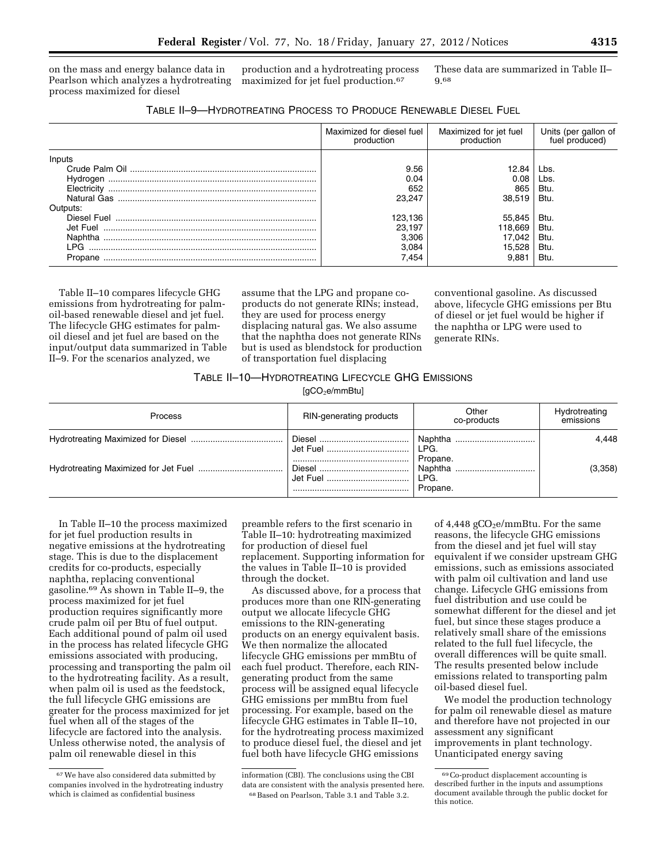on the mass and energy balance data in Pearlson which analyzes a hydrotreating maximized for jet fuel production.67 process maximized for diesel

production and a hydrotreating process

These data are summarized in Table II– 9.68

| TABLE II-9-HYDROTREATING PROCESS TO PRODUCE RENEWABLE DIESEL FUEL |
|-------------------------------------------------------------------|
|-------------------------------------------------------------------|

|           | Maximized for diesel fuel<br>production | Maximized for jet fuel<br>production | Units (per gallon of<br>fuel produced) |
|-----------|-----------------------------------------|--------------------------------------|----------------------------------------|
| Inputs    |                                         |                                      |                                        |
|           | 9.56                                    | 12.84                                | Lbs.                                   |
|           | 0.04                                    | 0.08                                 | Lbs.                                   |
|           | 652                                     | 865                                  | Btu.                                   |
|           | 23.247                                  | 38.519                               | Btu.                                   |
| Outputs:  |                                         |                                      |                                        |
|           | 123.136                                 | 55.845                               | Btu.                                   |
|           | 23.197                                  | 118.669                              | Btu.                                   |
|           | 3,306                                   | 17.042                               | Btu.                                   |
| <b>PG</b> | 3.084                                   | 15,528                               | Btu.                                   |
| Propane   | 7.454                                   | 9.881                                | Btu.                                   |

Table II–10 compares lifecycle GHG emissions from hydrotreating for palmoil-based renewable diesel and jet fuel. The lifecycle GHG estimates for palmoil diesel and jet fuel are based on the input/output data summarized in Table II–9. For the scenarios analyzed, we

assume that the LPG and propane coproducts do not generate RINs; instead, they are used for process energy displacing natural gas. We also assume that the naphtha does not generate RINs but is used as blendstock for production of transportation fuel displacing

conventional gasoline. As discussed above, lifecycle GHG emissions per Btu of diesel or jet fuel would be higher if the naphtha or LPG were used to generate RINs.

# TABLE II–10—HYDROTREATING LIFECYCLE GHG EMISSIONS

 $[qCO<sub>2</sub>e/mmBtu]$ 

| Process | <b>RIN-generating products</b> | Other<br>co-products        | Hydrotreating<br>emissions |
|---------|--------------------------------|-----------------------------|----------------------------|
|         |                                | LPG.<br>Propane.            | 4.448                      |
|         | Jet Fuel                       | Naphtha<br>LPG.<br>Propane. | (3,358)                    |

In Table II–10 the process maximized for jet fuel production results in negative emissions at the hydrotreating stage. This is due to the displacement credits for co-products, especially naphtha, replacing conventional gasoline.69 As shown in Table II–9, the process maximized for jet fuel production requires significantly more crude palm oil per Btu of fuel output. Each additional pound of palm oil used in the process has related lifecycle GHG emissions associated with producing, processing and transporting the palm oil to the hydrotreating facility. As a result, when palm oil is used as the feedstock, the full lifecycle GHG emissions are greater for the process maximized for jet fuel when all of the stages of the lifecycle are factored into the analysis. Unless otherwise noted, the analysis of palm oil renewable diesel in this

preamble refers to the first scenario in Table II–10: hydrotreating maximized for production of diesel fuel replacement. Supporting information for the values in Table II–10 is provided through the docket.

As discussed above, for a process that produces more than one RIN-generating output we allocate lifecycle GHG emissions to the RIN-generating products on an energy equivalent basis. We then normalize the allocated lifecycle GHG emissions per mmBtu of each fuel product. Therefore, each RINgenerating product from the same process will be assigned equal lifecycle GHG emissions per mmBtu from fuel processing. For example, based on the lifecycle GHG estimates in Table II–10, for the hydrotreating process maximized to produce diesel fuel, the diesel and jet fuel both have lifecycle GHG emissions

of  $4,448$  gCO<sub>2</sub>e/mmBtu. For the same reasons, the lifecycle GHG emissions from the diesel and jet fuel will stay equivalent if we consider upstream GHG emissions, such as emissions associated with palm oil cultivation and land use change. Lifecycle GHG emissions from fuel distribution and use could be somewhat different for the diesel and jet fuel, but since these stages produce a relatively small share of the emissions related to the full fuel lifecycle, the overall differences will be quite small. The results presented below include emissions related to transporting palm oil-based diesel fuel.

We model the production technology for palm oil renewable diesel as mature and therefore have not projected in our assessment any significant improvements in plant technology. Unanticipated energy saving

<sup>&</sup>lt;sup>67</sup> We have also considered data submitted by companies involved in the hydrotreating industry which is claimed as confidential business

information (CBI). The conclusions using the CBI data are consistent with the analysis presented here. 68Based on Pearlson, Table 3.1 and Table 3.2.

<sup>69</sup>Co-product displacement accounting is described further in the inputs and assumptions document available through the public docket for this notice.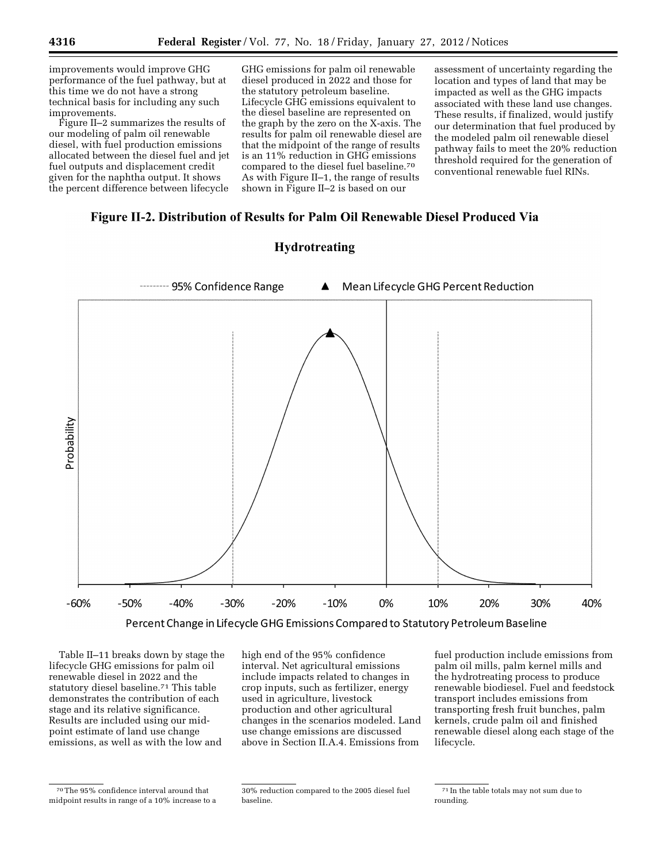improvements would improve GHG performance of the fuel pathway, but at this time we do not have a strong technical basis for including any such improvements.

Figure II–2 summarizes the results of our modeling of palm oil renewable diesel, with fuel production emissions allocated between the diesel fuel and jet fuel outputs and displacement credit given for the naphtha output. It shows the percent difference between lifecycle

GHG emissions for palm oil renewable diesel produced in 2022 and those for the statutory petroleum baseline. Lifecycle GHG emissions equivalent to the diesel baseline are represented on the graph by the zero on the X-axis. The results for palm oil renewable diesel are that the midpoint of the range of results is an 11% reduction in GHG emissions compared to the diesel fuel baseline.70 As with Figure II–1, the range of results shown in Figure II–2 is based on our

assessment of uncertainty regarding the location and types of land that may be impacted as well as the GHG impacts associated with these land use changes. These results, if finalized, would justify our determination that fuel produced by the modeled palm oil renewable diesel pathway fails to meet the 20% reduction threshold required for the generation of conventional renewable fuel RINs.

# Figure II-2. Distribution of Results for Palm Oil Renewable Diesel Produced Via

**Hydrotreating** 



Table II–11 breaks down by stage the lifecycle GHG emissions for palm oil renewable diesel in 2022 and the statutory diesel baseline.71 This table demonstrates the contribution of each stage and its relative significance. Results are included using our midpoint estimate of land use change emissions, as well as with the low and

high end of the 95% confidence interval. Net agricultural emissions include impacts related to changes in crop inputs, such as fertilizer, energy used in agriculture, livestock production and other agricultural changes in the scenarios modeled. Land use change emissions are discussed above in Section II.A.4. Emissions from

<sup>70</sup>The 95% confidence interval around that midpoint results in range of a 10% increase to a

fuel production include emissions from palm oil mills, palm kernel mills and the hydrotreating process to produce renewable biodiesel. Fuel and feedstock transport includes emissions from transporting fresh fruit bunches, palm kernels, crude palm oil and finished renewable diesel along each stage of the lifecycle.

<sup>30%</sup> reduction compared to the 2005 diesel fuel baseline.

<sup>71</sup> In the table totals may not sum due to rounding.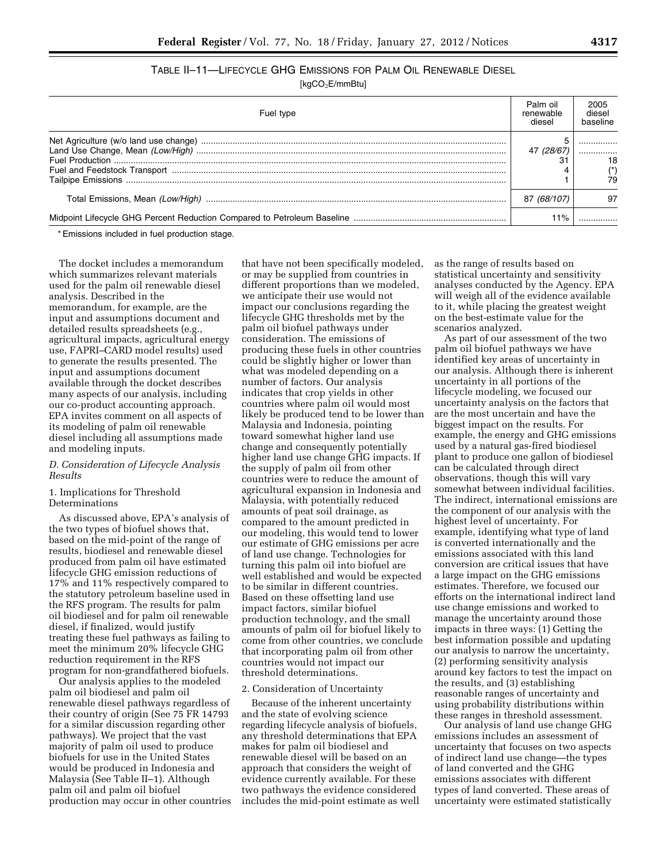# TABLE II–11—LIFECYCLE GHG EMISSIONS FOR PALM OIL RENEWABLE DIESEL

[kgCO<sub>2</sub>E/mmBtu]

| Fuel type | Palm oil<br>renewable<br>diesel | 2005<br>diesel<br>baseline |
|-----------|---------------------------------|----------------------------|
|           | 47 (28/67)<br>n-                | .<br>18                    |
|           |                                 | 79                         |
|           | 87 (68/107)                     | 97                         |

\* Emissions included in fuel production stage.

The docket includes a memorandum which summarizes relevant materials used for the palm oil renewable diesel analysis. Described in the memorandum, for example, are the input and assumptions document and detailed results spreadsheets (e.g., agricultural impacts, agricultural energy use, FAPRI–CARD model results) used to generate the results presented. The input and assumptions document available through the docket describes many aspects of our analysis, including our co-product accounting approach. EPA invites comment on all aspects of its modeling of palm oil renewable diesel including all assumptions made and modeling inputs.

# *D. Consideration of Lifecycle Analysis Results*

## 1. Implications for Threshold Determinations

As discussed above, EPA's analysis of the two types of biofuel shows that, based on the mid-point of the range of results, biodiesel and renewable diesel produced from palm oil have estimated lifecycle GHG emission reductions of 17% and 11% respectively compared to the statutory petroleum baseline used in the RFS program. The results for palm oil biodiesel and for palm oil renewable diesel, if finalized, would justify treating these fuel pathways as failing to meet the minimum 20% lifecycle GHG reduction requirement in the RFS program for non-grandfathered biofuels.

Our analysis applies to the modeled palm oil biodiesel and palm oil renewable diesel pathways regardless of their country of origin (See 75 FR 14793 for a similar discussion regarding other pathways). We project that the vast majority of palm oil used to produce biofuels for use in the United States would be produced in Indonesia and Malaysia (See Table II–1). Although palm oil and palm oil biofuel production may occur in other countries

that have not been specifically modeled, or may be supplied from countries in different proportions than we modeled, we anticipate their use would not impact our conclusions regarding the lifecycle GHG thresholds met by the palm oil biofuel pathways under consideration. The emissions of producing these fuels in other countries could be slightly higher or lower than what was modeled depending on a number of factors. Our analysis indicates that crop yields in other countries where palm oil would most likely be produced tend to be lower than Malaysia and Indonesia, pointing toward somewhat higher land use change and consequently potentially higher land use change GHG impacts. If the supply of palm oil from other countries were to reduce the amount of agricultural expansion in Indonesia and Malaysia, with potentially reduced amounts of peat soil drainage, as compared to the amount predicted in our modeling, this would tend to lower our estimate of GHG emissions per acre of land use change. Technologies for turning this palm oil into biofuel are well established and would be expected to be similar in different countries. Based on these offsetting land use impact factors, similar biofuel production technology, and the small amounts of palm oil for biofuel likely to come from other countries, we conclude that incorporating palm oil from other countries would not impact our threshold determinations.

# 2. Consideration of Uncertainty

Because of the inherent uncertainty and the state of evolving science regarding lifecycle analysis of biofuels, any threshold determinations that EPA makes for palm oil biodiesel and renewable diesel will be based on an approach that considers the weight of evidence currently available. For these two pathways the evidence considered includes the mid-point estimate as well as the range of results based on statistical uncertainty and sensitivity analyses conducted by the Agency. EPA will weigh all of the evidence available to it, while placing the greatest weight on the best-estimate value for the scenarios analyzed.

As part of our assessment of the two palm oil biofuel pathways we have identified key areas of uncertainty in our analysis. Although there is inherent uncertainty in all portions of the lifecycle modeling, we focused our uncertainty analysis on the factors that are the most uncertain and have the biggest impact on the results. For example, the energy and GHG emissions used by a natural gas-fired biodiesel plant to produce one gallon of biodiesel can be calculated through direct observations, though this will vary somewhat between individual facilities. The indirect, international emissions are the component of our analysis with the highest level of uncertainty. For example, identifying what type of land is converted internationally and the emissions associated with this land conversion are critical issues that have a large impact on the GHG emissions estimates. Therefore, we focused our efforts on the international indirect land use change emissions and worked to manage the uncertainty around those impacts in three ways: (1) Getting the best information possible and updating our analysis to narrow the uncertainty, (2) performing sensitivity analysis around key factors to test the impact on the results, and (3) establishing reasonable ranges of uncertainty and using probability distributions within these ranges in threshold assessment.

Our analysis of land use change GHG emissions includes an assessment of uncertainty that focuses on two aspects of indirect land use change—the types of land converted and the GHG emissions associates with different types of land converted. These areas of uncertainty were estimated statistically